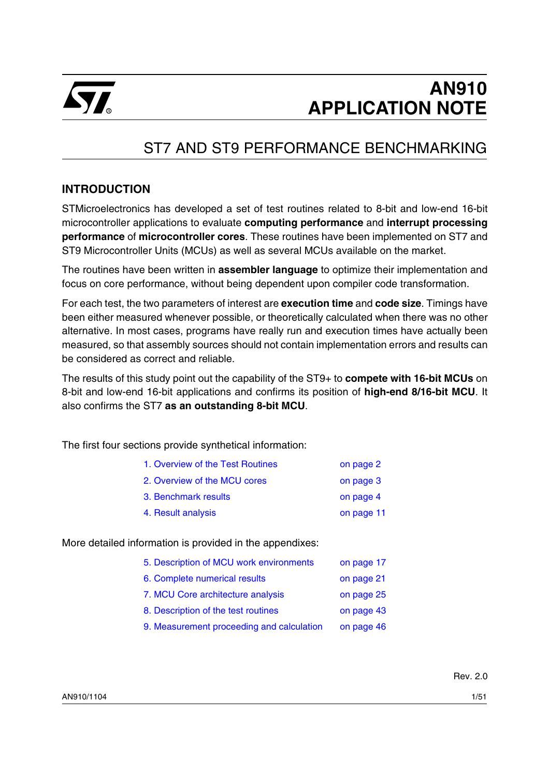

# ST7 AND ST9 PERFORMANCE BENCHMARKING

# **INTRODUCTION**

STMicroelectronics has developed a set of test routines related to 8-bit and low-end 16-bit microcontroller applications to evaluate **computing performance** and **interrupt processing performance** of **microcontroller cores**. These routines have been implemented on ST7 and ST9 Microcontroller Units (MCUs) as well as several MCUs available on the market.

The routines have been written in **assembler language** to optimize their implementation and focus on core performance, without being dependent upon compiler code transformation.

For each test, the two parameters of interest are **execution time** and **code size**. Timings have been either measured whenever possible, or theoretically calculated when there was no other alternative. In most cases, programs have really run and execution times have actually been measured, so that assembly sources should not contain implementation errors and results can be considered as correct and reliable.

The results of this study point out the capability of the ST9+ to **compete with 16-bit MCUs** on 8-bit and low-end 16-bit applications and confirms its position of **high-end 8/16-bit MCU**. It also confirms the ST7 **as an outstanding 8-bit MCU**.

The first four sections provide synthetical information:

| 1. Overview of the Test Routines | on page 2  |
|----------------------------------|------------|
| 2. Overview of the MCU cores     | on page 3  |
| 3. Benchmark results             | on page 4  |
| 4. Result analysis               | on page 11 |

More detailed information is provided in the appendixes:

| 5. Description of MCU work environments   | on page 17 |
|-------------------------------------------|------------|
| 6. Complete numerical results             | on page 21 |
| 7. MCU Core architecture analysis         | on page 25 |
| 8. Description of the test routines       | on page 43 |
| 9. Measurement proceeding and calculation | on page 46 |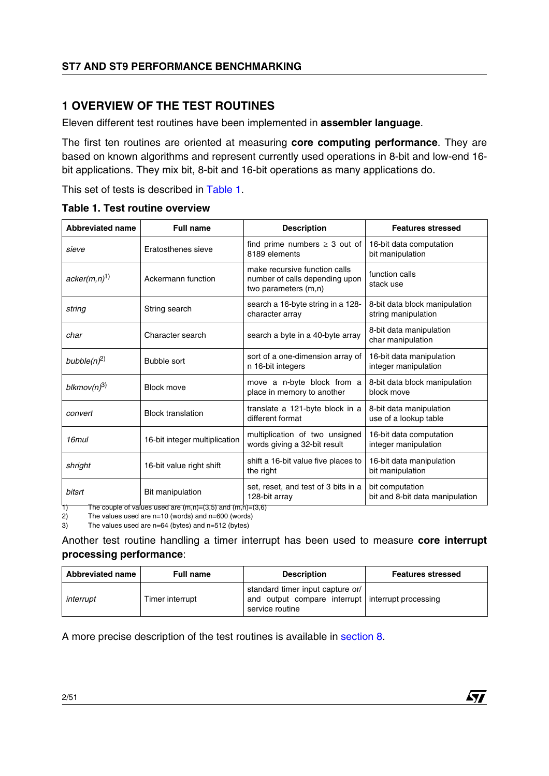# <span id="page-1-0"></span>**1 OVERVIEW OF THE TEST ROUTINES**

Eleven different test routines have been implemented in **assembler language**.

The first ten routines are oriented at measuring **core computing performance**. They are based on known algorithms and represent currently used operations in 8-bit and low-end 16 bit applications. They mix bit, 8-bit and 16-bit operations as many applications do.

This set of tests is described in Table 1.

|  | Table 1. Test routine overview |
|--|--------------------------------|
|  |                                |

| <b>Abbreviated name</b> | <b>Full name</b>              | <b>Description</b>                                                                      | <b>Features stressed</b>                             |
|-------------------------|-------------------------------|-----------------------------------------------------------------------------------------|------------------------------------------------------|
| sieve                   | Eratosthenes sieve            | find prime numbers $\geq 3$ out of<br>8189 elements                                     | 16-bit data computation<br>bit manipulation          |
| $acker(m,n)^{1}$        | Ackermann function            | make recursive function calls<br>number of calls depending upon<br>two parameters (m,n) | function calls<br>stack use                          |
| string                  | String search                 | search a 16-byte string in a 128-<br>character array                                    | 8-bit data block manipulation<br>string manipulation |
| char                    | Character search              | search a byte in a 40-byte array                                                        | 8-bit data manipulation<br>char manipulation         |
| bubble $(n)^2$          | <b>Bubble sort</b>            | sort of a one-dimension array of<br>n 16-bit integers                                   | 16-bit data manipulation<br>integer manipulation     |
| blkmov $(n)^3$          | <b>Block move</b>             | move a n-byte block from a<br>place in memory to another                                | 8-bit data block manipulation<br>block move          |
| convert                 | <b>Block translation</b>      | translate a 121-byte block in a<br>different format                                     | 8-bit data manipulation<br>use of a lookup table     |
| 16 <sub>mul</sub>       | 16-bit integer multiplication | multiplication of two unsigned<br>words giving a 32-bit result                          | 16-bit data computation<br>integer manipulation      |
| shright                 | 16-bit value right shift      | shift a 16-bit value five places to<br>the right                                        | 16-bit data manipulation<br>bit manipulation         |
| bitsrt                  | Bit manipulation              | set, reset, and test of 3 bits in a<br>128-bit array                                    | bit computation<br>bit and 8-bit data manipulation   |

1) The couple of values used are (m,n)=(3,5) and (m,n)=(3,6)

2) The values used are n=10 (words) and n=600 (words)

3) The values used are n=64 (bytes) and n=512 (bytes)

Another test routine handling a timer interrupt has been used to measure **core interrupt processing performance**:

| <b>Abbreviated name</b> | <b>Full name</b> | <b>Description</b>                                                                                       | <b>Features stressed</b> |
|-------------------------|------------------|----------------------------------------------------------------------------------------------------------|--------------------------|
| interrupt               | Timer interrupt  | standard timer input capture or/<br>and output compare interrupt interrupt processing<br>service routine |                          |

17/

A more precise description of the test routines is available in [section](#page-42-0) 8.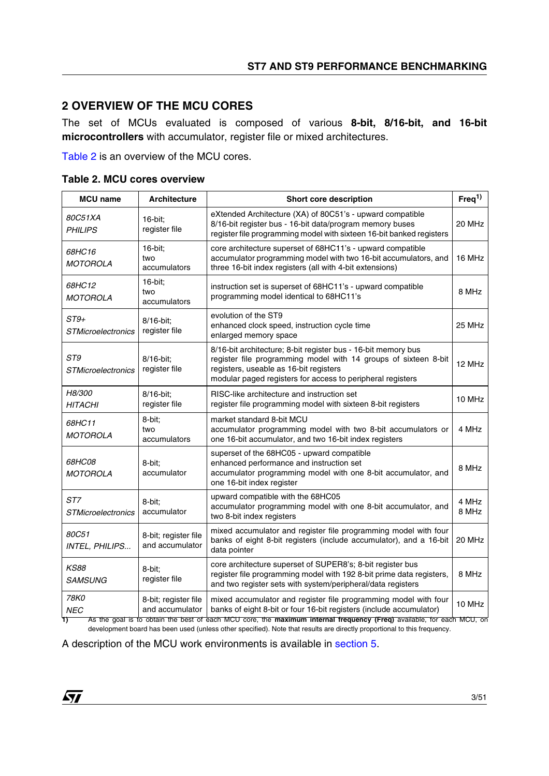# <span id="page-2-0"></span>**2 OVERVIEW OF THE MCU CORES**

The set of MCUs evaluated is composed of various **8-bit, 8/16-bit, and 16-bit microcontrollers** with accumulator, register file or mixed architectures.

Table 2 is an overview of the MCU cores.

#### **Table 2. MCU cores overview**

| <b>MCU</b> name                     | <b>Architecture</b>                     | Short core description                                                                                                                                                                                                                                          | Freq <sup>1</sup> |
|-------------------------------------|-----------------------------------------|-----------------------------------------------------------------------------------------------------------------------------------------------------------------------------------------------------------------------------------------------------------------|-------------------|
| 80C51XA<br><b>PHILIPS</b>           | 16-bit:<br>register file                | eXtended Architecture (XA) of 80C51's - upward compatible<br>8/16-bit register bus - 16-bit data/program memory buses<br>register file programming model with sixteen 16-bit banked registers                                                                   | 20 MHz            |
| 68HC16<br><b>MOTOROLA</b>           | 16-bit;<br>two<br>accumulators          | core architecture superset of 68HC11's - upward compatible<br>accumulator programming model with two 16-bit accumulators, and<br>three 16-bit index registers (all with 4-bit extensions)                                                                       | 16 MHz            |
| 68HC12<br><b>MOTOROLA</b>           | 16-bit;<br>two<br>accumulators          | instruction set is superset of 68HC11's - upward compatible<br>programming model identical to 68HC11's                                                                                                                                                          | 8 MHz             |
| $ST9+$<br><b>STMicroelectronics</b> | 8/16-bit;<br>register file              | evolution of the ST9<br>enhanced clock speed, instruction cycle time<br>enlarged memory space                                                                                                                                                                   | 25 MHz            |
| ST9<br><b>STMicroelectronics</b>    | 8/16-bit;<br>register file              | 8/16-bit architecture; 8-bit register bus - 16-bit memory bus<br>register file programming model with 14 groups of sixteen 8-bit<br>registers, useable as 16-bit registers<br>modular paged registers for access to peripheral registers                        | 12 MHz            |
| H8/300<br><b>HITACHI</b>            | 8/16-bit:<br>register file              | RISC-like architecture and instruction set<br>register file programming model with sixteen 8-bit registers                                                                                                                                                      | 10 MHz            |
| 68HC11<br><b>MOTOROLA</b>           | 8-bit:<br>two<br>accumulators           | market standard 8-bit MCU<br>accumulator programming model with two 8-bit accumulators or<br>one 16-bit accumulator, and two 16-bit index registers                                                                                                             | 4 MHz             |
| 68HC08<br><b>MOTOROLA</b>           | 8-bit:<br>accumulator                   | superset of the 68HC05 - upward compatible<br>enhanced performance and instruction set<br>accumulator programming model with one 8-bit accumulator, and<br>one 16-bit index register                                                                            | 8 MHz             |
| ST7<br><b>STMicroelectronics</b>    | 8-bit;<br>accumulator                   | upward compatible with the 68HC05<br>accumulator programming model with one 8-bit accumulator, and<br>two 8-bit index registers                                                                                                                                 | 4 MHz<br>8 MHz    |
| 80C51<br>INTEL, PHILIPS             | 8-bit; register file<br>and accumulator | mixed accumulator and register file programming model with four<br>banks of eight 8-bit registers (include accumulator), and a 16-bit<br>data pointer                                                                                                           | 20 MHz            |
| <i>KS88</i><br><b>SAMSUNG</b>       | 8-bit:<br>register file                 | core architecture superset of SUPER8's; 8-bit register bus<br>register file programming model with 192 8-bit prime data registers,<br>and two register sets with system/peripheral/data registers                                                               | 8 MHz             |
| 78K0<br><b>NEC</b><br>1)            | 8-bit; register file<br>and accumulator | mixed accumulator and register file programming model with four<br>banks of eight 8-bit or four 16-bit registers (include accumulator)<br>As the goal is to obtain the best of each MCU core, the maximum internal frequency (Freq) available, for each MCU, on | 10 MHz            |

development board has been used (unless other specified). Note that results are directly proportional to this frequency.

A description of the MCU work environments is available in [section](#page-16-0) 5.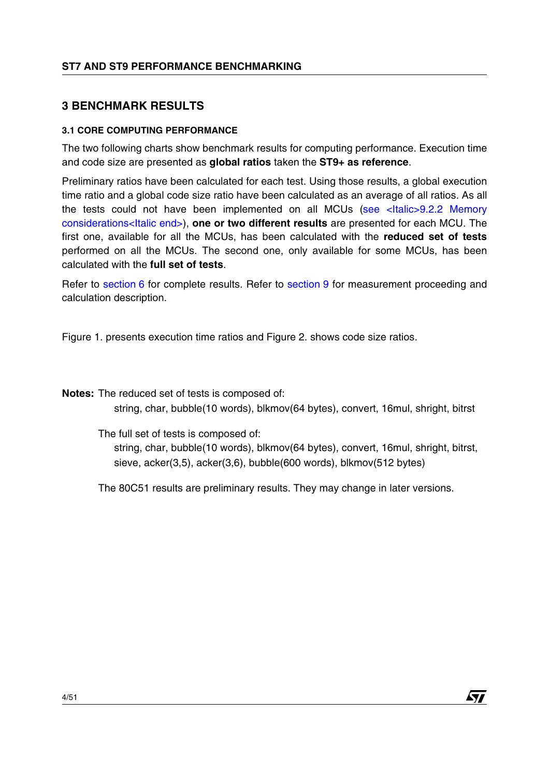# <span id="page-3-0"></span>**3 BENCHMARK RESULTS**

# **3.1 CORE COMPUTING PERFORMANCE**

The two following charts show benchmark results for computing performance. Execution time and code size are presented as **global ratios** taken the **ST9+ as reference**.

Preliminary ratios have been calculated for each test. Using those results, a global execution time ratio and a global code size ratio have been calculated as an average of all ratios. As all the tests could not have been implemented on all MCUs [\(see <Italic>9.2.2 Memory](#page-48-0)  [considerations<Italic end>](#page-48-0)), **one or two different results** are presented for each MCU. The first one, available for all the MCUs, has been calculated with the **reduced set of tests** performed on all the MCUs. The second one, only available for some MCUs, has been calculated with the **full set of tests**.

Refer to [section](#page-45-0) 6 for complete results. Refer to section 9 for measurement proceeding and calculation description.

Figure 1. presents execution time ratios and Figure 2. shows code size ratios.

**Notes:** The reduced set of tests is composed of:

string, char, bubble(10 words), blkmov(64 bytes), convert, 16mul, shright, bitrst

The full set of tests is composed of:

string, char, bubble(10 words), blkmov(64 bytes), convert, 16mul, shright, bitrst, sieve, acker(3,5), acker(3,6), bubble(600 words), blkmov(512 bytes)

The 80C51 results are preliminary results. They may change in later versions.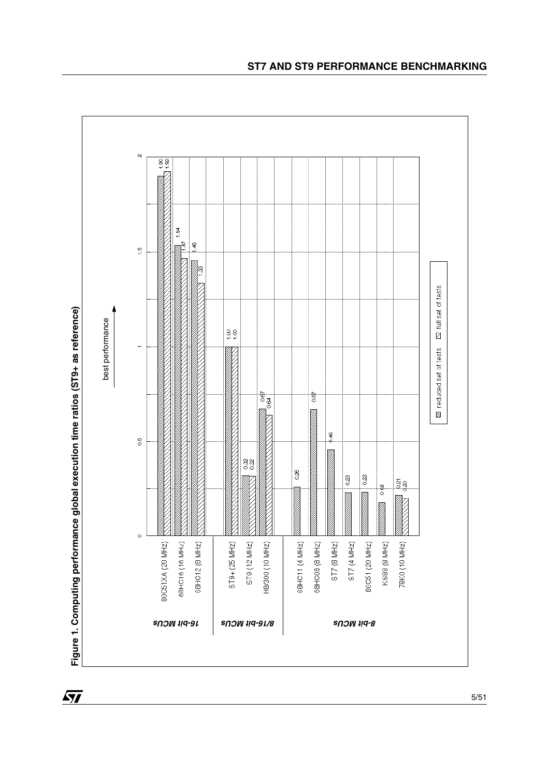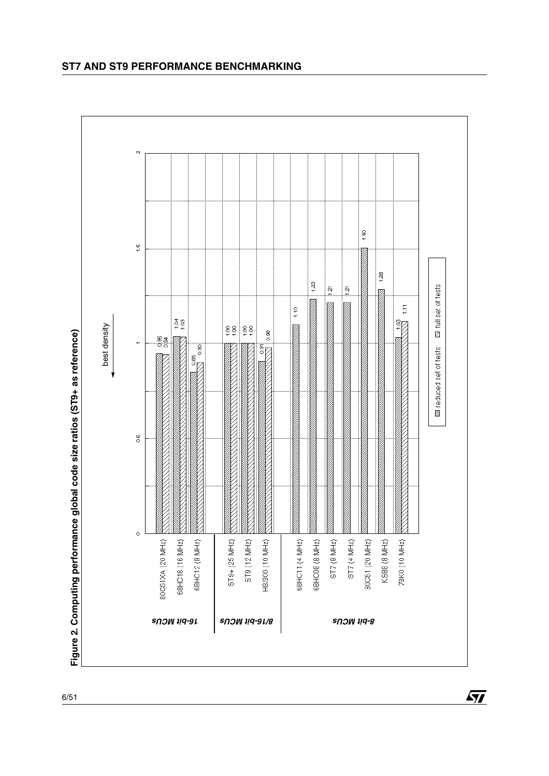

勾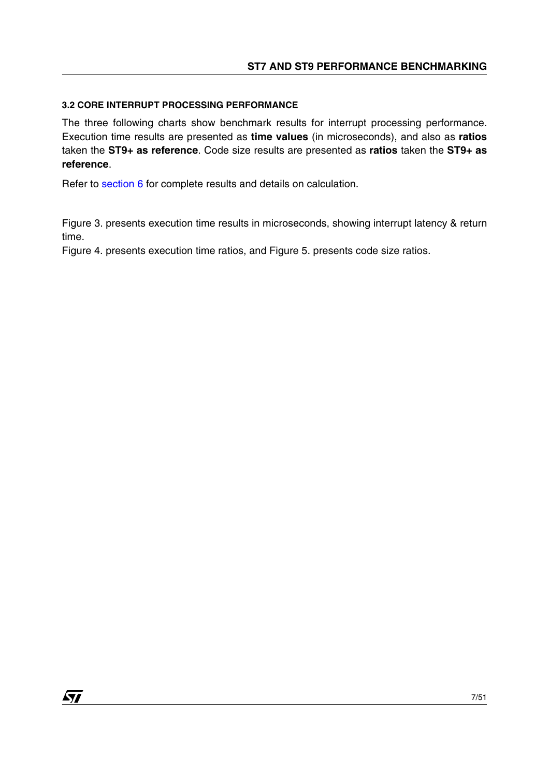### **3.2 CORE INTERRUPT PROCESSING PERFORMANCE**

The three following charts show benchmark results for interrupt processing performance. Execution time results are presented as **time values** (in microseconds), and also as **ratios** taken the **ST9+ as reference**. Code size results are presented as **ratios** taken the **ST9+ as reference**.

Refer to [section](#page-20-0) 6 for complete results and details on calculation.

Figure 3. presents execution time results in microseconds, showing interrupt latency & return time.

Figure 4. presents execution time ratios, and Figure 5. presents code size ratios.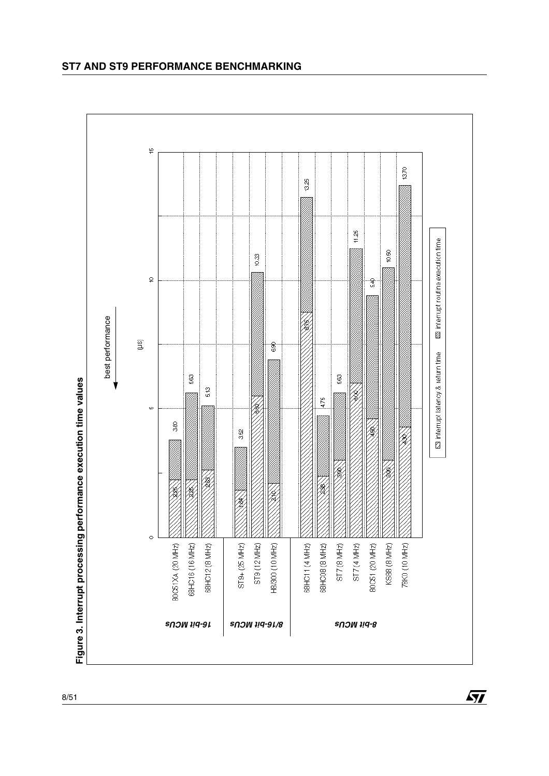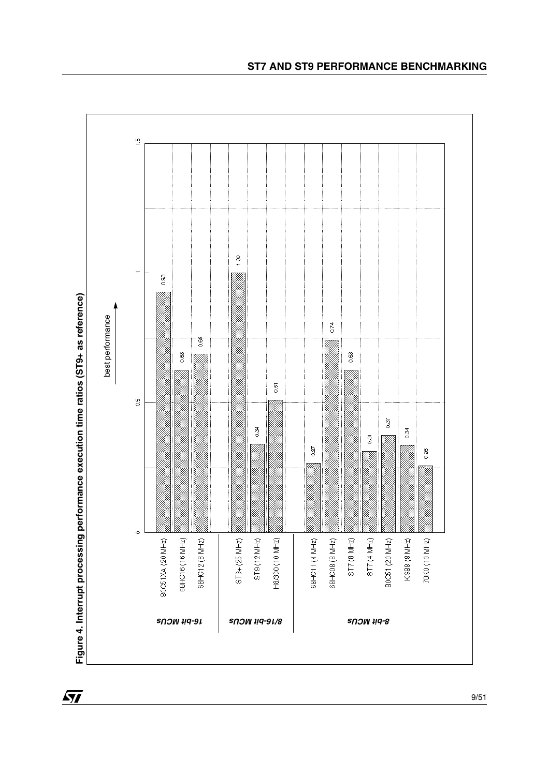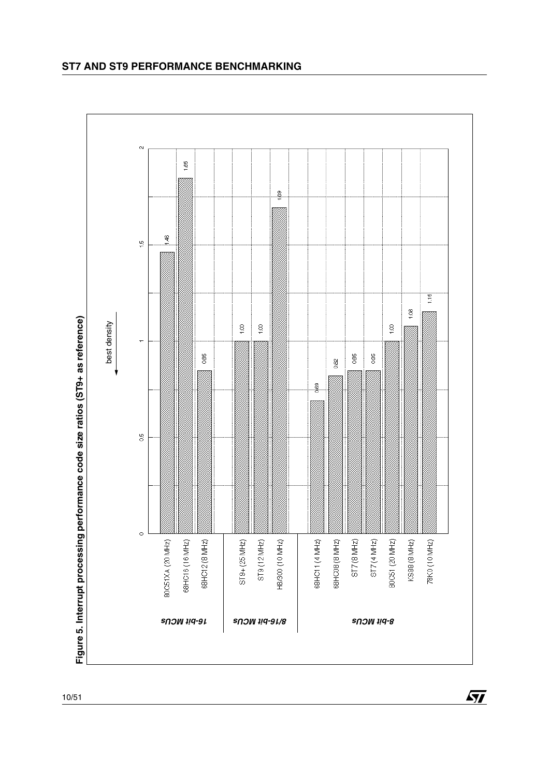

*8/16-bit MCUs 8-bit MCUs 16-bit MCUs*

HB/300 (10 MHZ)

88HC11 (4 MHZ)

68HOOB (8 MHZ)

ST7 (8 MHz)

ST7 (4 MHz)

80CS1 (20 MHz)

KS88 (8 MHz)

78K0 (10 MHz)

ST9+(25 MHz)

ST9 (12 MHz)

10/51

 $\circ$ 

80CS1XA (20 MHz)

68HC16 (16 MHz)

68HC12 (8 MHZ)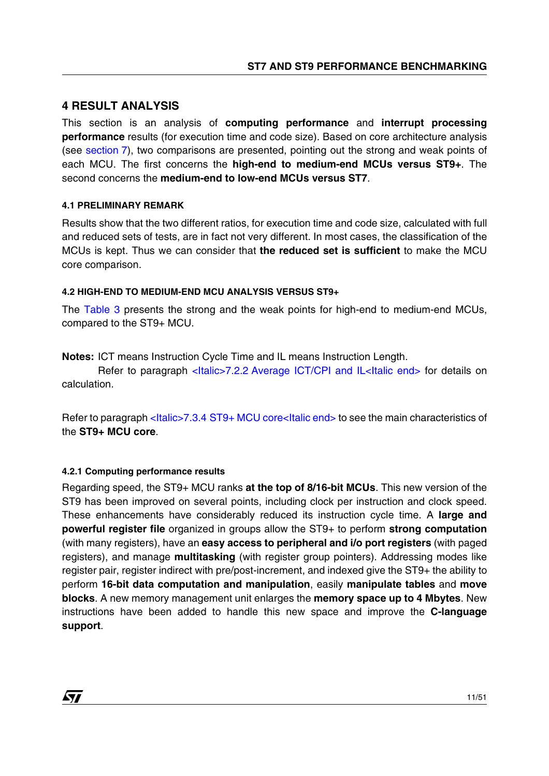# <span id="page-10-0"></span>**4 RESULT ANALYSIS**

This section is an analysis of **computing performance** and **interrupt processing performance** results (for execution time and code size). Based on core architecture analysis (see [section](#page-24-0) 7), two comparisons are presented, pointing out the strong and weak points of each MCU. The first concerns the **high-end to medium-end MCUs versus ST9+**. The second concerns the **medium-end to low-end MCUs versus ST7**.

### <span id="page-10-1"></span>**4.1 PRELIMINARY REMARK**

Results show that the two different ratios, for execution time and code size, calculated with full and reduced sets of tests, are in fact not very different. In most cases, the classification of the MCUs is kept. Thus we can consider that **the reduced set is sufficient** to make the MCU core comparison.

#### **4.2 HIGH-END TO MEDIUM-END MCU ANALYSIS VERSUS ST9+**

The Table 3 presents the strong and the weak points for high-end to medium-end MCUs, compared to the ST9+ MCU.

**Notes:** ICT means Instruction Cycle Time and IL means Instruction Length.

Refer to paragraph <Italic>7.2.2 [Average ICT/CPI and IL<Italic end>](#page-25-0) for details on calculation.

Refer to paragraph <Italic>7.3.4 [ST9+ MCU core<Italic end>](#page-30-0) to see the main characteristics of the **ST9+ MCU core**.

#### **4.2.1 Computing performance results**

**AV** 

Regarding speed, the ST9+ MCU ranks **at the top of 8/16-bit MCUs**. This new version of the ST9 has been improved on several points, including clock per instruction and clock speed. These enhancements have considerably reduced its instruction cycle time. A **large and powerful register file** organized in groups allow the ST9+ to perform **strong computation** (with many registers), have an **easy access to peripheral and i/o port registers** (with paged registers), and manage **multitasking** (with register group pointers). Addressing modes like register pair, register indirect with pre/post-increment, and indexed give the ST9+ the ability to perform **16-bit data computation and manipulation**, easily **manipulate tables** and **move blocks**. A new memory management unit enlarges the **memory space up to 4 Mbytes**. New instructions have been added to handle this new space and improve the **C-language support**.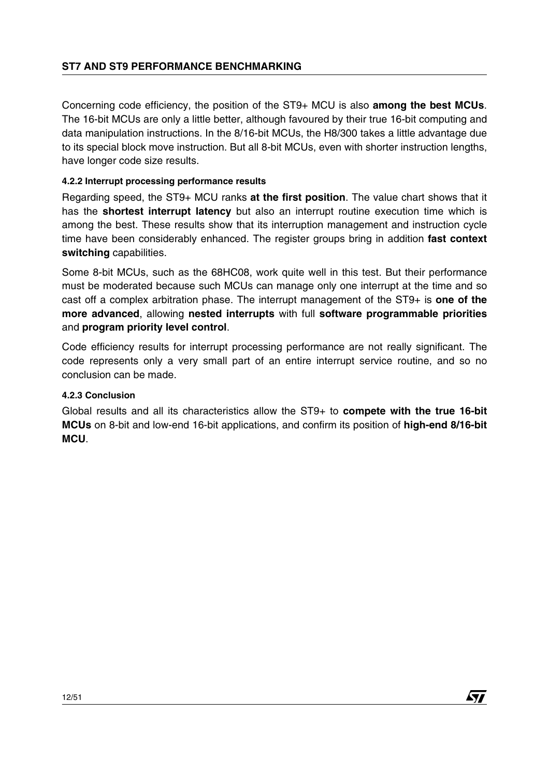Concerning code efficiency, the position of the ST9+ MCU is also **among the best MCUs**. The 16-bit MCUs are only a little better, although favoured by their true 16-bit computing and data manipulation instructions. In the 8/16-bit MCUs, the H8/300 takes a little advantage due to its special block move instruction. But all 8-bit MCUs, even with shorter instruction lengths, have longer code size results.

# **4.2.2 Interrupt processing performance results**

Regarding speed, the ST9+ MCU ranks **at the first position**. The value chart shows that it has the **shortest interrupt latency** but also an interrupt routine execution time which is among the best. These results show that its interruption management and instruction cycle time have been considerably enhanced. The register groups bring in addition **fast context switching** capabilities.

Some 8-bit MCUs, such as the 68HC08, work quite well in this test. But their performance must be moderated because such MCUs can manage only one interrupt at the time and so cast off a complex arbitration phase. The interrupt management of the ST9+ is **one of the more advanced**, allowing **nested interrupts** with full **software programmable priorities** and **program priority level control**.

Code efficiency results for interrupt processing performance are not really significant. The code represents only a very small part of an entire interrupt service routine, and so no conclusion can be made.

# **4.2.3 Conclusion**

Global results and all its characteristics allow the ST9+ to **compete with the true 16-bit MCUs** on 8-bit and low-end 16-bit applications, and confirm its position of **high-end 8/16-bit MCU**.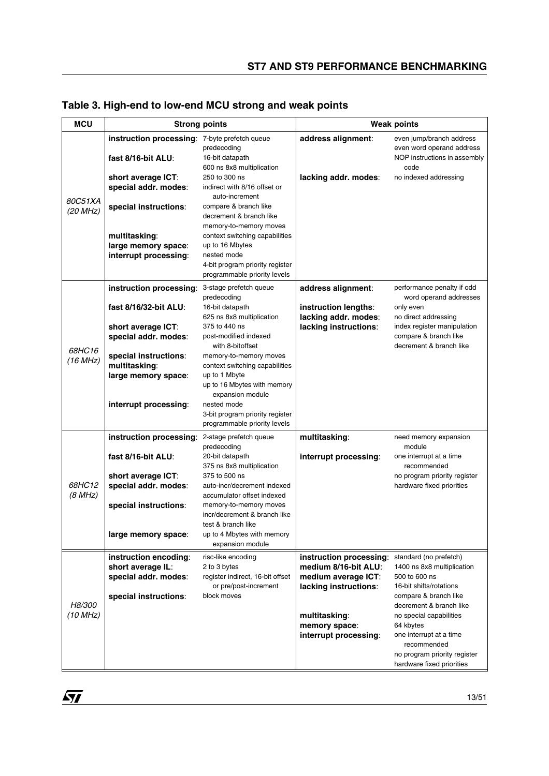| <b>MCU</b>               |                                                                     | <b>Strong points</b>                                                                                                                |                                                                       | <b>Weak points</b>                                                                         |
|--------------------------|---------------------------------------------------------------------|-------------------------------------------------------------------------------------------------------------------------------------|-----------------------------------------------------------------------|--------------------------------------------------------------------------------------------|
|                          | instruction processing: 7-byte prefetch queue<br>fast 8/16-bit ALU: | predecoding<br>16-bit datapath                                                                                                      | address alignment:                                                    | even jump/branch address<br>even word operand address<br>NOP instructions in assembly      |
| 80C51XA                  | short average ICT:<br>special addr. modes:                          | 600 ns 8x8 multiplication<br>250 to 300 ns<br>indirect with 8/16 offset or<br>auto-increment                                        | lacking addr. modes:                                                  | code<br>no indexed addressing                                                              |
| (20 MHz)                 | special instructions:                                               | compare & branch like<br>decrement & branch like<br>memory-to-memory moves                                                          |                                                                       |                                                                                            |
|                          | multitasking:<br>large memory space:<br>interrupt processing:       | context switching capabilities<br>up to 16 Mbytes<br>nested mode<br>4-bit program priority register<br>programmable priority levels |                                                                       |                                                                                            |
|                          | instruction processing:                                             | 3-stage prefetch queue                                                                                                              | address alignment:                                                    | performance penalty if odd                                                                 |
|                          | fast 8/16/32-bit ALU:<br>short average ICT:                         | predecoding<br>16-bit datapath<br>625 ns 8x8 multiplication<br>375 to 440 ns                                                        | instruction lengths:<br>lacking addr. modes:<br>lacking instructions: | word operand addresses<br>only even<br>no direct addressing<br>index register manipulation |
| 68HC16                   | special addr. modes:                                                | post-modified indexed<br>with 8-bitoffset                                                                                           |                                                                       | compare & branch like<br>decrement & branch like                                           |
| (16 MHz)                 | special instructions:<br>multitasking:                              | memory-to-memory moves<br>context switching capabilities                                                                            |                                                                       |                                                                                            |
|                          | large memory space:                                                 | up to 1 Mbyte<br>up to 16 Mbytes with memory<br>expansion module                                                                    |                                                                       |                                                                                            |
|                          | interrupt processing:                                               | nested mode<br>3-bit program priority register<br>programmable priority levels                                                      |                                                                       |                                                                                            |
|                          | instruction processing:                                             | 2-stage prefetch queue<br>predecoding                                                                                               | multitasking:                                                         | need memory expansion<br>module                                                            |
|                          | fast 8/16-bit ALU:                                                  | 20-bit datapath<br>375 ns 8x8 multiplication                                                                                        | interrupt processing:                                                 | one interrupt at a time<br>recommended                                                     |
| <i>68HC12</i><br>(8 MHz) | short average ICT:<br>special addr. modes:                          | 375 to 500 ns<br>auto-incr/decrement indexed<br>accumulator offset indexed                                                          |                                                                       | no program priority register<br>hardware fixed priorities                                  |
|                          | special instructions:                                               | memory-to-memory moves<br>incr/decrement & branch like<br>test & branch like                                                        |                                                                       |                                                                                            |
|                          | large memory space:                                                 | up to 4 Mbytes with memory<br>expansion module                                                                                      |                                                                       |                                                                                            |
|                          | instruction encoding:<br>short average IL:                          | risc-like encoding<br>2 to 3 bytes                                                                                                  | instruction processing:<br>medium 8/16-bit ALU:                       | standard (no prefetch)<br>1400 ns 8x8 multiplication                                       |
|                          | special addr. modes:                                                | register indirect, 16-bit offset<br>or pre/post-increment                                                                           | medium average ICT:                                                   | 500 to 600 ns<br>16-bit shifts/rotations                                                   |
| H8/300                   | special instructions:                                               | block moves                                                                                                                         | lacking instructions:                                                 | compare & branch like<br>decrement & branch like                                           |
| (10 MHz)                 |                                                                     |                                                                                                                                     | multitasking:<br>memory space:                                        | no special capabilities<br>64 kbytes                                                       |
|                          |                                                                     |                                                                                                                                     | interrupt processing:                                                 | one interrupt at a time<br>recommended<br>no program priority register                     |
|                          |                                                                     |                                                                                                                                     |                                                                       | hardware fixed priorities                                                                  |

**Table 3. High-end to low-end MCU strong and weak points**

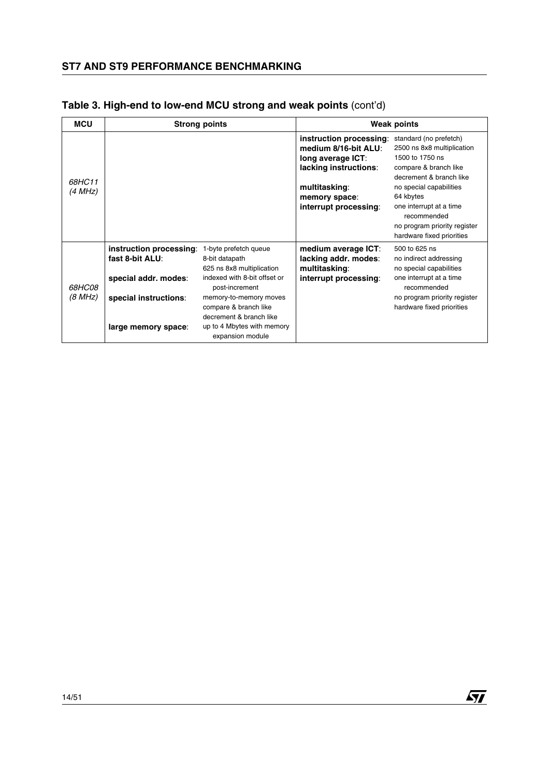| <b>MCU</b>        |                                                                    | <b>Strong points</b>                                                                                 |                                                                                                                                                          | <b>Weak points</b>                                                                                                                                                                                                                                                         |
|-------------------|--------------------------------------------------------------------|------------------------------------------------------------------------------------------------------|----------------------------------------------------------------------------------------------------------------------------------------------------------|----------------------------------------------------------------------------------------------------------------------------------------------------------------------------------------------------------------------------------------------------------------------------|
| 68HC11<br>(4 MHz) |                                                                    |                                                                                                      | instruction processing:<br>medium 8/16-bit ALU:<br>long average ICT:<br>lacking instructions:<br>multitasking:<br>memory space:<br>interrupt processing: | standard (no prefetch)<br>2500 ns 8x8 multiplication<br>1500 to 1750 ns<br>compare & branch like<br>decrement & branch like<br>no special capabilities<br>64 kbytes<br>one interrupt at a time<br>recommended<br>no program priority register<br>hardware fixed priorities |
|                   | instruction processing:<br>fast 8-bit ALU:<br>special addr. modes: | 1-byte prefetch queue<br>8-bit datapath<br>625 ns 8x8 multiplication<br>indexed with 8-bit offset or | medium average ICT:<br>lacking addr. modes:<br>multitasking:<br>interrupt processing:                                                                    | 500 to 625 ns<br>no indirect addressing<br>no special capabilities<br>one interrupt at a time                                                                                                                                                                              |
| 68HC08<br>(8 MHz) | special instructions:                                              | post-increment<br>memory-to-memory moves                                                             |                                                                                                                                                          | recommended<br>no program priority register                                                                                                                                                                                                                                |
|                   | large memory space:                                                | compare & branch like<br>decrement & branch like<br>up to 4 Mbytes with memory<br>expansion module   |                                                                                                                                                          | hardware fixed priorities                                                                                                                                                                                                                                                  |

 $\sqrt{M}$ 

# **Table 3. High-end to low-end MCU strong and weak points** (cont'd)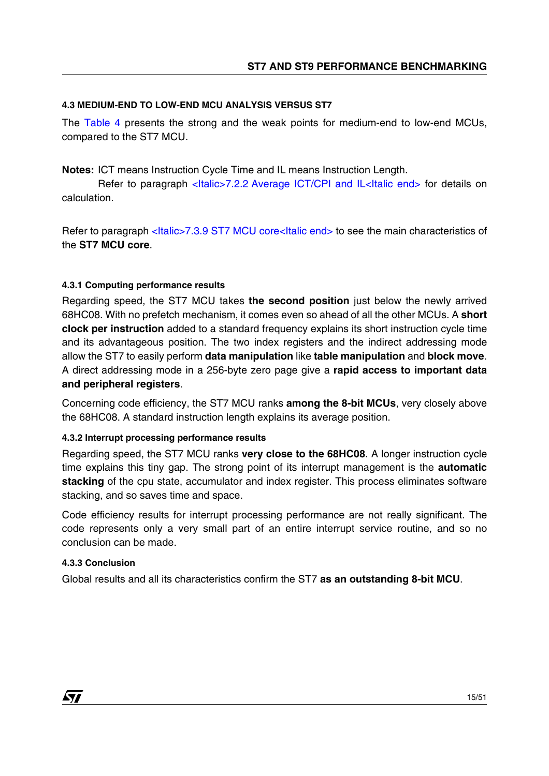### **4.3 MEDIUM-END TO LOW-END MCU ANALYSIS VERSUS ST7**

The Table 4 presents the strong and the weak points for medium-end to low-end MCUs, compared to the ST7 MCU.

**Notes:** ICT means Instruction Cycle Time and IL means Instruction Length.

Refer to paragraph <Italic>7.2.2 [Average ICT/CPI and IL<Italic end>](#page-25-0) for details on calculation.

Refer to paragraph <Italic>7.3.9 [ST7 MCU core<Italic end>](#page-35-0) to see the main characteristics of the **ST7 MCU core**.

### **4.3.1 Computing performance results**

Regarding speed, the ST7 MCU takes **the second position** just below the newly arrived 68HC08. With no prefetch mechanism, it comes even so ahead of all the other MCUs. A **short clock per instruction** added to a standard frequency explains its short instruction cycle time and its advantageous position. The two index registers and the indirect addressing mode allow the ST7 to easily perform **data manipulation** like **table manipulation** and **block move**. A direct addressing mode in a 256-byte zero page give a **rapid access to important data and peripheral registers**.

Concerning code efficiency, the ST7 MCU ranks **among the 8-bit MCUs**, very closely above the 68HC08. A standard instruction length explains its average position.

# **4.3.2 Interrupt processing performance results**

Regarding speed, the ST7 MCU ranks **very close to the 68HC08**. A longer instruction cycle time explains this tiny gap. The strong point of its interrupt management is the **automatic stacking** of the cpu state, accumulator and index register. This process eliminates software stacking, and so saves time and space.

Code efficiency results for interrupt processing performance are not really significant. The code represents only a very small part of an entire interrupt service routine, and so no conclusion can be made.

# **4.3.3 Conclusion**

47

Global results and all its characteristics confirm the ST7 **as an outstanding 8-bit MCU**.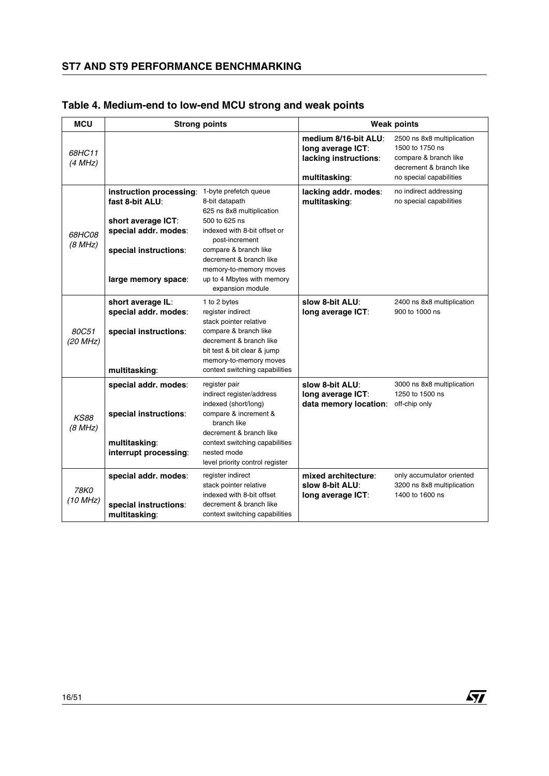| <b>MCU</b>               | <b>Strong points</b>                                                                                                                     |                                                                                                                                                                                                                                                                         | <b>Weak points</b>                                                                  |                                                                                                                              |
|--------------------------|------------------------------------------------------------------------------------------------------------------------------------------|-------------------------------------------------------------------------------------------------------------------------------------------------------------------------------------------------------------------------------------------------------------------------|-------------------------------------------------------------------------------------|------------------------------------------------------------------------------------------------------------------------------|
| 68HC11<br>(4 MHz)        |                                                                                                                                          |                                                                                                                                                                                                                                                                         | medium 8/16-bit ALU:<br>long average ICT:<br>lacking instructions:<br>multitasking: | 2500 ns 8x8 multiplication<br>1500 to 1750 ns<br>compare & branch like<br>decrement & branch like<br>no special capabilities |
| <i>68HC08</i><br>(8 MHz) | instruction processing:<br>fast 8-bit ALU:<br>short average ICT:<br>special addr. modes:<br>special instructions:<br>large memory space: | 1-byte prefetch queue<br>8-bit datapath<br>625 ns 8x8 multiplication<br>500 to 625 ns<br>indexed with 8-bit offset or<br>post-increment<br>compare & branch like<br>decrement & branch like<br>memory-to-memory moves<br>up to 4 Mbytes with memory<br>expansion module | lacking addr. modes:<br>multitasking:                                               | no indirect addressing<br>no special capabilities                                                                            |
| 80C51<br>(20 MHz)        | short average IL:<br>special addr. modes:<br>special instructions:<br>multitasking:                                                      | 1 to 2 bytes<br>register indirect<br>stack pointer relative<br>compare & branch like<br>decrement & branch like<br>bit test & bit clear & jump<br>memory-to-memory moves<br>context switching capabilities                                                              | slow 8-bit ALU:<br>long average ICT:                                                | 2400 ns 8x8 multiplication<br>900 to 1000 ns                                                                                 |
| <b>KS88</b><br>(8 MHz)   | special addr. modes:<br>special instructions:<br>multitasking:<br>interrupt processing:                                                  | register pair<br>indirect register/address<br>indexed (short/long)<br>compare & increment &<br>branch like<br>decrement & branch like<br>context switching capabilities<br>nested mode<br>level priority control register                                               | slow 8-bit ALU:<br>long average ICT:<br>data memory location:                       | 3000 ns 8x8 multiplication<br>1250 to 1500 ns<br>off-chip only                                                               |
| 78K0<br>(10 MHz)         | special addr. modes:<br>special instructions:<br>multitasking:                                                                           | register indirect<br>stack pointer relative<br>indexed with 8-bit offset<br>decrement & branch like<br>context switching capabilities                                                                                                                                   | mixed architecture:<br>slow 8-bit ALU:<br>long average ICT:                         | only accumulator oriented<br>3200 ns 8x8 multiplication<br>1400 to 1600 ns                                                   |

# **Table 4. Medium-end to low-end MCU strong and weak points**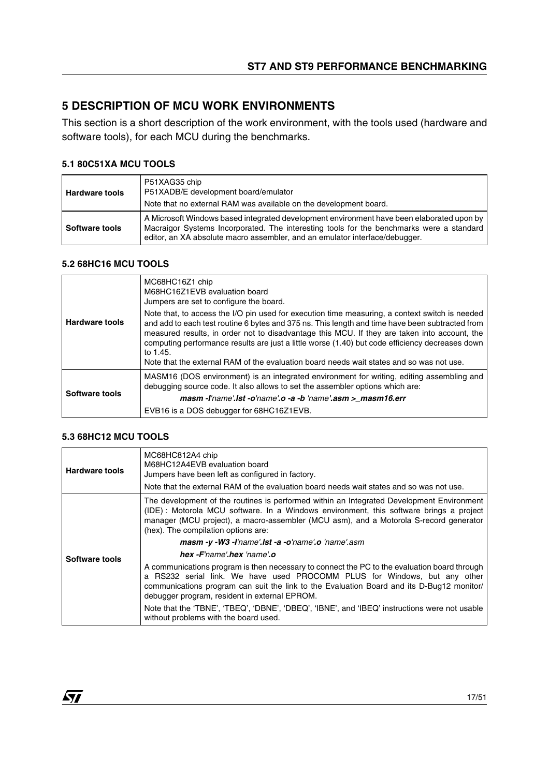# <span id="page-16-0"></span>**5 DESCRIPTION OF MCU WORK ENVIRONMENTS**

This section is a short description of the work environment, with the tools used (hardware and software tools), for each MCU during the benchmarks.

### **5.1 80C51XA MCU TOOLS**

| <b>Hardware tools</b> | P51XAG35 chip<br>P51XADB/E development board/emulator<br>Note that no external RAM was available on the development board.                                                                                                                                           |
|-----------------------|----------------------------------------------------------------------------------------------------------------------------------------------------------------------------------------------------------------------------------------------------------------------|
| Software tools        | A Microsoft Windows based integrated development environment have been elaborated upon by<br>Macraigor Systems Incorporated. The interesting tools for the benchmarks were a standard<br>editor, an XA absolute macro assembler, and an emulator interface/debugger. |

#### **5.2 68HC16 MCU TOOLS**

| <b>Hardware tools</b><br>Software tools | MC68HC16Z1 chip<br>M68HC16Z1EVB evaluation board<br>Jumpers are set to configure the board.                                                                                                                                                                                                                                                                                                                                                                                                                  |
|-----------------------------------------|--------------------------------------------------------------------------------------------------------------------------------------------------------------------------------------------------------------------------------------------------------------------------------------------------------------------------------------------------------------------------------------------------------------------------------------------------------------------------------------------------------------|
|                                         | Note that, to access the I/O pin used for execution time measuring, a context switch is needed<br>and add to each test routine 6 bytes and 375 ns. This length and time have been subtracted from<br>measured results, in order not to disadvantage this MCU. If they are taken into account, the<br>computing performance results are just a little worse (1.40) but code efficiency decreases down<br>to 1.45.<br>Note that the external RAM of the evaluation board needs wait states and so was not use. |
|                                         | MASM16 (DOS environment) is an integrated environment for writing, editing assembling and<br>debugging source code. It also allows to set the assembler options which are:                                                                                                                                                                                                                                                                                                                                   |
|                                         | $masm$ -l'name'.lst-o'name'.o-a-b'name'.asm > masm16.err                                                                                                                                                                                                                                                                                                                                                                                                                                                     |
|                                         | EVB16 is a DOS debugger for 68HC16Z1EVB.                                                                                                                                                                                                                                                                                                                                                                                                                                                                     |

# **5.3 68HC12 MCU TOOLS**

*st* 

| <b>Hardware tools</b> | MC68HC812A4 chip<br>M68HC12A4EVB evaluation board<br>Jumpers have been left as configured in factory.<br>Note that the external RAM of the evaluation board needs wait states and so was not use.                                                                                                                       |
|-----------------------|-------------------------------------------------------------------------------------------------------------------------------------------------------------------------------------------------------------------------------------------------------------------------------------------------------------------------|
|                       |                                                                                                                                                                                                                                                                                                                         |
|                       | The development of the routines is performed within an Integrated Development Environment<br>(IDE): Motorola MCU software. In a Windows environment, this software brings a project<br>manager (MCU project), a macro-assembler (MCU asm), and a Motorola S-record generator<br>(hex). The compilation options are:     |
|                       | masm -y -W3 -l'name'.lst -a -o'name'.o 'name'.asm                                                                                                                                                                                                                                                                       |
| Software tools        | hex - F'name'.hex 'name'.o                                                                                                                                                                                                                                                                                              |
|                       | A communications program is then necessary to connect the PC to the evaluation board through<br>a RS232 serial link. We have used PROCOMM PLUS for Windows, but any other<br>communications program can suit the link to the Evaluation Board and its D-Bug12 monitor/<br>debugger program, resident in external EPROM. |
|                       | Note that the 'TBNE', 'TBEQ', 'DBNE', 'DBEQ', 'IBNE', and 'IBEQ' instructions were not usable<br>without problems with the board used.                                                                                                                                                                                  |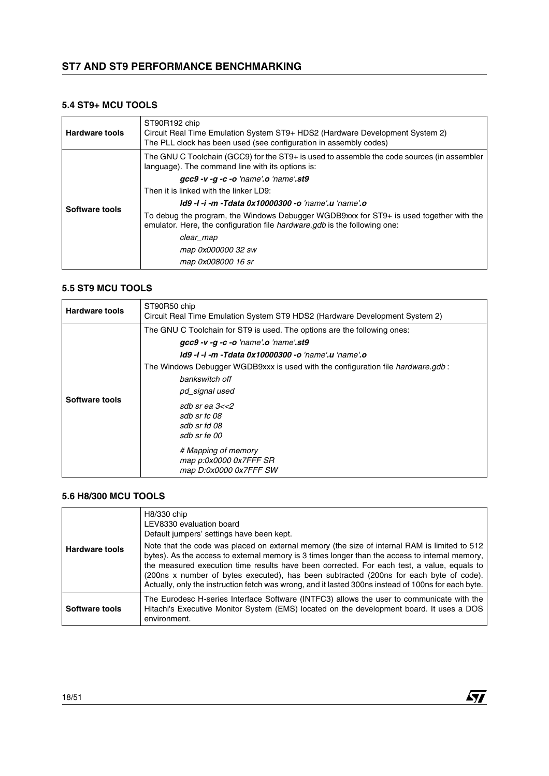#### **5.4 ST9+ MCU TOOLS**

| <b>Hardware tools</b> | ST90R192 chip<br>Circuit Real Time Emulation System ST9+ HDS2 (Hardware Development System 2)<br>The PLL clock has been used (see configuration in assembly codes)  |
|-----------------------|---------------------------------------------------------------------------------------------------------------------------------------------------------------------|
|                       | The GNU C Toolchain (GCC9) for the ST9+ is used to assemble the code sources (in assembler<br>language). The command line with its options is:                      |
|                       | $qcc9$ -v- $q$ -c-o 'name'.o 'name'.st9                                                                                                                             |
|                       | Then it is linked with the linker LD9:                                                                                                                              |
| Software tools        | <b>Id9 -I -i -m -Tdata 0x10000300 -o 'name' u 'name' o</b>                                                                                                          |
|                       | To debug the program, the Windows Debugger WGDB9xxx for ST9+ is used together with the<br>emulator. Here, the configuration file hardware.gdb is the following one: |
|                       | clear_map                                                                                                                                                           |
|                       | map 0x000000 32 sw                                                                                                                                                  |
|                       | map 0x008000 16 sr                                                                                                                                                  |

#### **5.5 ST9 MCU TOOLS**

| <b>Hardware tools</b> | ST90R50 chip<br>Circuit Real Time Emulation System ST9 HDS2 (Hardware Development System 2)                                                                                                                                                                                                                                                                                                                                                                              |
|-----------------------|--------------------------------------------------------------------------------------------------------------------------------------------------------------------------------------------------------------------------------------------------------------------------------------------------------------------------------------------------------------------------------------------------------------------------------------------------------------------------|
| Software tools        | The GNU C Toolchain for ST9 is used. The options are the following ones:<br>$\mathbf{gcc9}$ -v -g -c -o 'name'.o 'name'.st9<br><b>Id9 -I -i -m -Tdata 0x10000300 -o 'name' u 'name' o</b><br>The Windows Debugger WGDB9xxx is used with the configuration file <i>hardware.gdb</i> :<br>bankswitch off<br>pd_signal used<br>sdb sr ea $3 < 2$<br>sdb sr fc 08<br>sdb sr fd 08<br>sdb sr fe 00<br># Mapping of memory<br>map p:0x0000 0x7FFF SR<br>map D:0x0000 0x7FFF SW |

#### **5.6 H8/300 MCU TOOLS**

| <b>Hardware tools</b> | H8/330 chip<br>LEV8330 evaluation board<br>Default jumpers' settings have been kept.<br>Note that the code was placed on external memory (the size of internal RAM is limited to 512                                                                                                                                                                                                          |
|-----------------------|-----------------------------------------------------------------------------------------------------------------------------------------------------------------------------------------------------------------------------------------------------------------------------------------------------------------------------------------------------------------------------------------------|
|                       | bytes). As the access to external memory is 3 times longer than the access to internal memory,<br>the measured execution time results have been corrected. For each test, a value, equals to<br>(200ns x number of bytes executed), has been subtracted (200ns for each byte of code).<br>Actually, only the instruction fetch was wrong, and it lasted 300ns instead of 100ns for each byte. |
| Software tools        | The Eurodesc H-series Interface Software (INTFC3) allows the user to communicate with the<br>Hitachi's Executive Monitor System (EMS) located on the development board. It uses a DOS<br>environment.                                                                                                                                                                                         |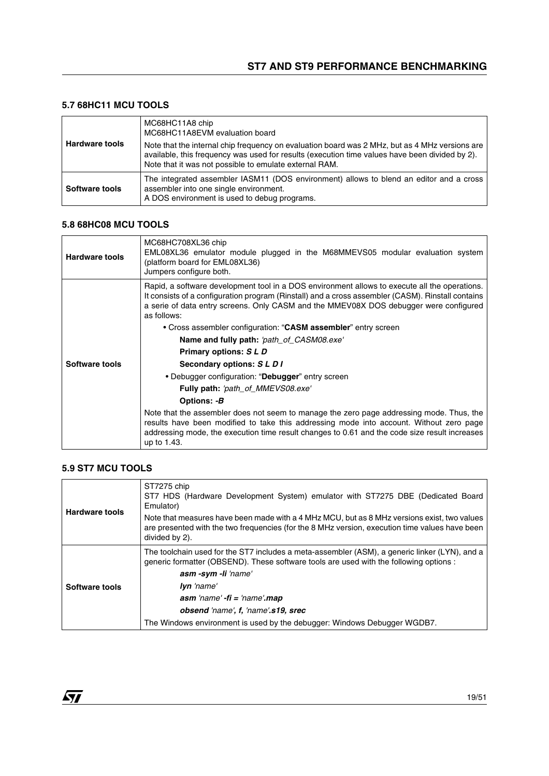### **5.7 68HC11 MCU TOOLS**

| <b>Hardware tools</b> | MC68HC11A8 chip<br>MC68HC11A8EVM evaluation board<br>Note that the internal chip frequency on evaluation board was 2 MHz, but as 4 MHz versions are<br>available, this frequency was used for results (execution time values have been divided by 2).<br>Note that it was not possible to emulate external RAM. |
|-----------------------|-----------------------------------------------------------------------------------------------------------------------------------------------------------------------------------------------------------------------------------------------------------------------------------------------------------------|
| Software tools        | The integrated assembler IASM11 (DOS environment) allows to blend an editor and a cross<br>assembler into one single environment.<br>A DOS environment is used to debug programs.                                                                                                                               |

#### **5.8 68HC08 MCU TOOLS**

| <b>Hardware tools</b> | MC68HC708XL36 chip<br>EML08XL36 emulator module plugged in the M68MMEVS05 modular evaluation system<br>(platform board for EML08XL36)<br>Jumpers configure both.                                                                                                                                           |
|-----------------------|------------------------------------------------------------------------------------------------------------------------------------------------------------------------------------------------------------------------------------------------------------------------------------------------------------|
|                       | Rapid, a software development tool in a DOS environment allows to execute all the operations.<br>It consists of a configuration program (Rinstall) and a cross assembler (CASM). Rinstall contains<br>a serie of data entry screens. Only CASM and the MMEV08X DOS debugger were configured<br>as follows: |
|                       | • Cross assembler configuration: "CASM assembler" entry screen                                                                                                                                                                                                                                             |
|                       | Name and fully path: 'path_of_CASM08.exe'                                                                                                                                                                                                                                                                  |
|                       | Primary options: S L D                                                                                                                                                                                                                                                                                     |
| Software tools        | Secondary options: SLDI                                                                                                                                                                                                                                                                                    |
|                       | • Debugger configuration: "Debugger" entry screen                                                                                                                                                                                                                                                          |
|                       | Fully path: 'path_of_MMEVS08.exe'                                                                                                                                                                                                                                                                          |
|                       | Options: -B                                                                                                                                                                                                                                                                                                |
|                       | Note that the assembler does not seem to manage the zero page addressing mode. Thus, the<br>results have been modified to take this addressing mode into account. Without zero page<br>addressing mode, the execution time result changes to 0.61 and the code size result increases<br>up to 1.43.        |

### **5.9 ST7 MCU TOOLS**

| <b>Hardware tools</b> | ST7275 chip<br>ST7 HDS (Hardware Development System) emulator with ST7275 DBE (Dedicated Board<br>Emulator)                                                                                                     |
|-----------------------|-----------------------------------------------------------------------------------------------------------------------------------------------------------------------------------------------------------------|
|                       | Note that measures have been made with a 4 MHz MCU, but as 8 MHz versions exist, two values<br>are presented with the two frequencies (for the 8 MHz version, execution time values have been<br>divided by 2). |
|                       | The toolchain used for the ST7 includes a meta-assembler (ASM), a generic linker (LYN), and a<br>generic formatter (OBSEND). These software tools are used with the following options :                         |
|                       | asm-sym-li 'name'                                                                                                                                                                                               |
| Software tools        | <b>Iyn</b> 'name'                                                                                                                                                                                               |
|                       | $asm'name' - fi = 'name'.map$                                                                                                                                                                                   |
|                       | obsend 'name', f, 'name', s19, srec                                                                                                                                                                             |
|                       | The Windows environment is used by the debugger: Windows Debugger WGDB7.                                                                                                                                        |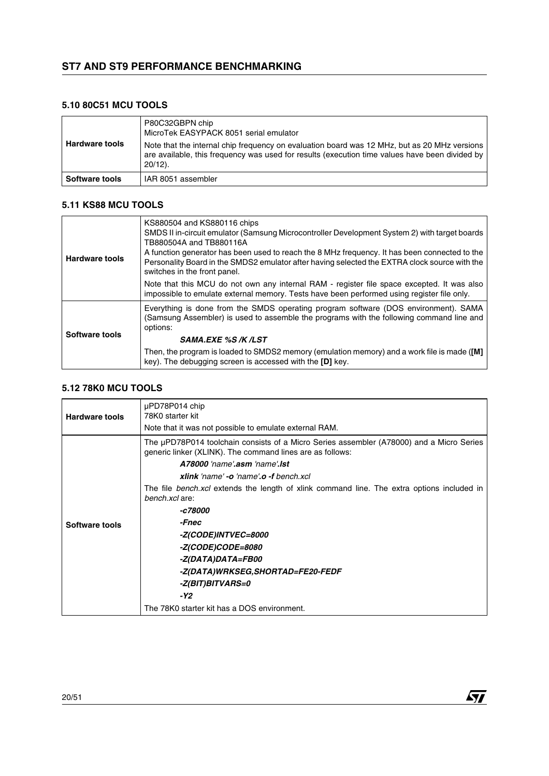#### **5.10 80C51 MCU TOOLS**

| <b>Hardware tools</b> | P80C32GBPN chip<br>MicroTek EASYPACK 8051 serial emulator<br>Note that the internal chip frequency on evaluation board was 12 MHz, but as 20 MHz versions<br>are available, this frequency was used for results (execution time values have been divided by<br>$20/12$ ). |
|-----------------------|---------------------------------------------------------------------------------------------------------------------------------------------------------------------------------------------------------------------------------------------------------------------------|
| Software tools        | IAR 8051 assembler                                                                                                                                                                                                                                                        |

#### **5.11 KS88 MCU TOOLS**

| <b>Hardware tools</b> | KS880504 and KS880116 chips<br>SMDS II in-circuit emulator (Samsung Microcontroller Development System 2) with target boards<br>TB880504A and TB880116A<br>A function generator has been used to reach the 8 MHz frequency. It has been connected to the<br>Personality Board in the SMDS2 emulator after having selected the EXTRA clock source with the<br>switches in the front panel. |
|-----------------------|-------------------------------------------------------------------------------------------------------------------------------------------------------------------------------------------------------------------------------------------------------------------------------------------------------------------------------------------------------------------------------------------|
|                       | Note that this MCU do not own any internal RAM - register file space excepted. It was also<br>impossible to emulate external memory. Tests have been performed using register file only.                                                                                                                                                                                                  |
|                       | Everything is done from the SMDS operating program software (DOS environment). SAMA<br>(Samsung Assembler) is used to assemble the programs with the following command line and<br>options:                                                                                                                                                                                               |
| Software tools        | <b>SAMA.EXE %S /K /LST</b>                                                                                                                                                                                                                                                                                                                                                                |
|                       | Then, the program is loaded to SMDS2 memory (emulation memory) and a work file is made ([M]<br>key). The debugging screen is accessed with the [D] key.                                                                                                                                                                                                                                   |

#### **5.12 78K0 MCU TOOLS**

| <b>Hardware tools</b> | µPD78P014 chip<br>78K0 starter kit                                                                                                                    |
|-----------------------|-------------------------------------------------------------------------------------------------------------------------------------------------------|
|                       | Note that it was not possible to emulate external RAM.                                                                                                |
|                       | The µPD78P014 toolchain consists of a Micro Series assembler (A78000) and a Micro Series<br>generic linker (XLINK). The command lines are as follows: |
|                       | A78000 'name'.asm 'name'.lst                                                                                                                          |
|                       | xlink 'name' - o 'name' o -f bench xcl                                                                                                                |
|                       | The file <i>bench.xcl</i> extends the length of xlink command line. The extra options included in<br>bench.xcl are:                                   |
|                       | -c78000                                                                                                                                               |
| Software tools        | -Fnec                                                                                                                                                 |
|                       | -Z(CODE)INTVEC=8000                                                                                                                                   |
|                       | <i>-Z(CODE)CODE=8080</i>                                                                                                                              |
|                       | -Z(DATA)DATA=FB00                                                                                                                                     |
|                       | -Z(DATA)WRKSEG,SHORTAD=FE20-FEDF                                                                                                                      |
|                       | -Z(BIT)BITVARS=0                                                                                                                                      |
|                       | -Y2                                                                                                                                                   |
|                       | The 78K0 starter kit has a DOS environment.                                                                                                           |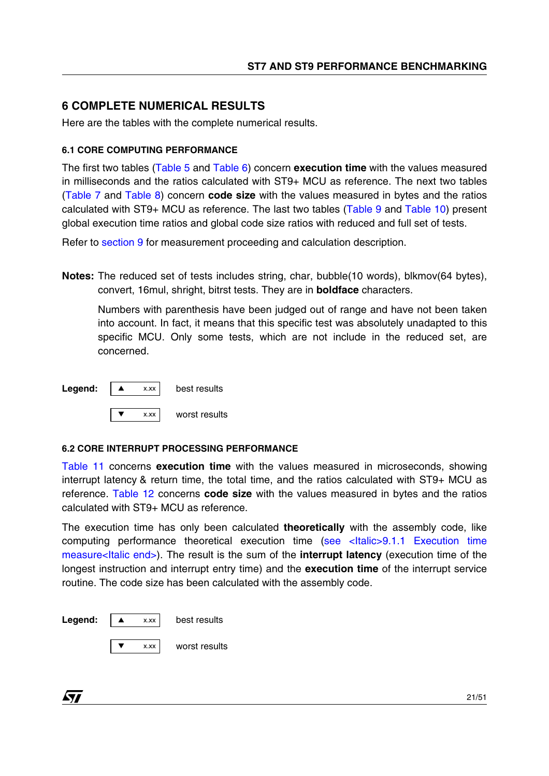# <span id="page-20-0"></span>**6 COMPLETE NUMERICAL RESULTS**

Here are the tables with the complete numerical results.

# **6.1 CORE COMPUTING PERFORMANCE**

The first two tables (Table 5 and Table 6) concern **execution time** with the values measured in milliseconds and the ratios calculated with ST9+ MCU as reference. The next two tables (Table 7 and Table 8) concern **code size** with the values measured in bytes and the ratios calculated with ST9+ MCU as reference. The last two tables (Table 9 and Table 10) present global execution time ratios and global code size ratios with reduced and full set of tests.

Refer to [section](#page-45-0) 9 for measurement proceeding and calculation description.

**Notes:** The reduced set of tests includes string, char, bubble(10 words), blkmov(64 bytes), convert, 16mul, shright, bitrst tests. They are in **boldface** characters.

Numbers with parenthesis have been judged out of range and have not been taken into account. In fact, it means that this specific test was absolutely unadapted to this specific MCU. Only some tests, which are not include in the reduced set, are concerned.

| Legend: | X.XX | best results  |
|---------|------|---------------|
|         |      |               |
|         | X.XX | worst results |

# <span id="page-20-1"></span>**6.2 CORE INTERRUPT PROCESSING PERFORMANCE**

Table 11 concerns **execution time** with the values measured in microseconds, showing interrupt latency & return time, the total time, and the ratios calculated with ST9+ MCU as reference. Table 12 concerns **code size** with the values measured in bytes and the ratios calculated with ST9+ MCU as reference.

The execution time has only been calculated **theoretically** with the assembly code, like computing performance theoretical execution time [\(see <Italic>9.1.1 Execution time](#page-45-1)  [measure<Italic end>\)](#page-45-1). The result is the sum of the **interrupt latency** (execution time of the longest instruction and interrupt entry time) and the **execution time** of the interrupt service routine. The code size has been calculated with the assembly code.

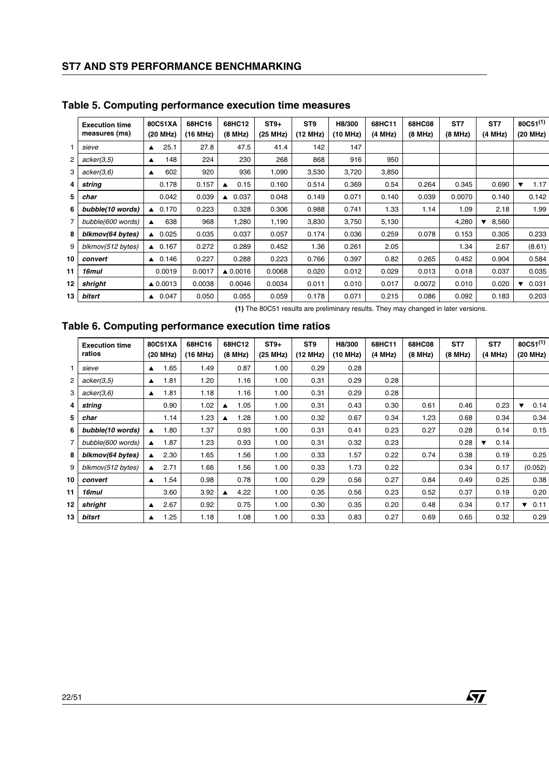|    | <b>Execution time</b><br>measures (ms) |                  | 80C51XA<br>(20 MHz) | 68HC16<br>(16 MHz) | 68HC12<br>(8 MHz)  | $ST9+$<br>(25 MHz) | ST <sub>9</sub><br>(12 MHz) | H8/300<br>(10 MHz) | 68HC11<br>(4 MHz) | 68HC08<br>(8 MHz) | ST7<br>(8 MHz) | ST <sub>7</sub><br>(4 MHz) |
|----|----------------------------------------|------------------|---------------------|--------------------|--------------------|--------------------|-----------------------------|--------------------|-------------------|-------------------|----------------|----------------------------|
|    | sieve                                  | $\blacktriangle$ | 25.1                | 27.8               | 47.5               | 41.4               | 142                         | 147                |                   |                   |                |                            |
| 2  | acker(3,5)                             | $\blacktriangle$ | 148                 | 224                | 230                | 268                | 868                         | 916                | 950               |                   |                |                            |
| 3  | acker(3,6)                             | ▲                | 602                 | 920                | 936                | 1,090              | 3,530                       | 3,720              | 3,850             |                   |                |                            |
| 4  | string                                 |                  | 0.178               | 0.157              | 0.15<br>▲          | 0.160              | 0.514                       | 0.369              | 0.54              | 0.264             | 0.345          | 0.690                      |
| 5  | char                                   |                  | 0.042               | 0.039              | 0.037<br>▲         | 0.048              | 0.149                       | 0.071              | 0.140             | 0.039             | 0.0070         | 0.140                      |
| 6  | bubble(10 words)                       | $\blacktriangle$ | 0.170               | 0.223              | 0.328              | 0.306              | 0.988                       | 0.741              | 1.33              | 1.14              | 1.09           | 2.18                       |
| 7  | bubble(600 words)                      |                  | 638                 | 968                | 1,280              | 1,190              | 3,830                       | 3,750              | 5,130             |                   | 4,280          | 8,560<br>▼                 |
| 8  | blkmov(64 bytes)                       |                  | $\triangle$ 0.025   | 0.035              | 0.037              | 0.057              | 0.174                       | 0.036              | 0.259             | 0.078             | 0.153          | 0.305                      |
| 9  | blkmov(512 bytes)                      |                  | $\triangle$ 0.167   | 0.272              | 0.289              | 0.452              | 1.36                        | 0.261              | 2.05              |                   | 1.34           | 2.67                       |
| 10 | convert                                |                  | $\triangle$ 0.146   | 0.227              | 0.288              | 0.223              | 0.766                       | 0.397              | 0.82              | 0.265             | 0.452          | 0.904                      |
| 11 | 16mul                                  |                  | 0.0019              | 0.0017             | $\triangle$ 0.0016 | 0.0068             | 0.020                       | 0.012              | 0.029             | 0.013             | 0.018          | 0.037                      |
| 12 | shright                                |                  | ▲ 0.0013            | 0.0038             | 0.0046             | 0.0034             | 0.011                       | 0.010              | 0.017             | 0.0072            | 0.010          | 0.020                      |
| 13 | bitsrt                                 |                  | $\triangle$ 0.047   | 0.050              | 0.055              | 0.059              | 0.178                       | 0.071              | 0.215             | 0.086             | 0.092          | 0.183                      |

# **Table 5. Computing performance execution time measures**

**(1)** The 80C51 results are preliminary results. They may changed in later versions.

# **Table 6. Computing performance execution time ratios**

|    | <b>Execution time</b><br>ratios |                  | 80C51XA<br>(20 MHz) | 68HC16<br>(16 MHz) | 68HC12<br>(8 MHz) |      | $ST9+$<br>(25 MHz) | ST <sub>9</sub><br>(12 MHz) | H8/300<br>(10 MHz) | 68HC11<br>(4 MHz) | 68HC08<br>(8 MHz) | ST7<br>(8 MHz) | ST7<br>(4 MHz)                  |
|----|---------------------------------|------------------|---------------------|--------------------|-------------------|------|--------------------|-----------------------------|--------------------|-------------------|-------------------|----------------|---------------------------------|
|    | sieve                           | $\blacktriangle$ | 1.65                | 1.49               |                   | 0.87 | 1.00               | 0.29                        | 0.28               |                   |                   |                |                                 |
| 2  | acker(3,5)                      | $\blacktriangle$ | 1.81                | 1.20               |                   | 1.16 | 1.00               | 0.31                        | 0.29               | 0.28              |                   |                |                                 |
| 3  | acker(3,6)                      | ▲                | 1.81                | 1.18               |                   | 1.16 | 1.00               | 0.31                        | 0.29               | 0.28              |                   |                |                                 |
| 4  | string                          |                  | 0.90                | 1.02               | ▲                 | 1.05 | 1.00               | 0.31                        | 0.43               | 0.30              | 0.61              | 0.46           | 0.23                            |
| 5  | char                            |                  | 1.14                | 1.23               | ▲                 | 1.28 | 1.00               | 0.32                        | 0.67               | 0.34              | 1.23              | 0.68           | 0.34                            |
| 6  | bubble(10 words)                | ▲                | 1.80                | 1.37               |                   | 0.93 | 1.00               | 0.31                        | 0.41               | 0.23              | 0.27              | 0.28           | 0.14                            |
| 7  | bubble(600 words)               | ▲                | 1.87                | 1.23               |                   | 0.93 | 1.00               | 0.31                        | 0.32               | 0.23              |                   | 0.28           | 0.14<br>$\overline{\textbf{v}}$ |
| 8  | blkmov(64 bytes)                | ▲                | 2.30                | 1.65               |                   | 1.56 | 1.00               | 0.33                        | 1.57               | 0.22              | 0.74              | 0.38           | 0.19                            |
| 9  | blkmov(512 bytes)               | $\blacktriangle$ | 2.71                | 1.66               |                   | 1.56 | 1.00               | 0.33                        | 1.73               | 0.22              |                   | 0.34           | 0.17                            |
| 10 | convert                         | $\blacktriangle$ | 1.54                | 0.98               |                   | 0.78 | 1.00               | 0.29                        | 0.56               | 0.27              | 0.84              | 0.49           | 0.25                            |
| 11 | 16mul                           |                  | 3.60                | 3.92               | ▲                 | 4.22 | 1.00               | 0.35                        | 0.56               | 0.23              | 0.52              | 0.37           | 0.19                            |
| 12 | shright                         | $\blacktriangle$ | 2.67                | 0.92               |                   | 0.75 | 1.00               | 0.30                        | 0.35               | 0.20              | 0.48              | 0.34           | 0.17                            |
| 13 | bitsrt                          | $\blacktriangle$ | 1.25                | 1.18               |                   | 1.08 | 1.00               | 0.33                        | 0.83               | 0.27              | 0.69              | 0.65           | 0.32                            |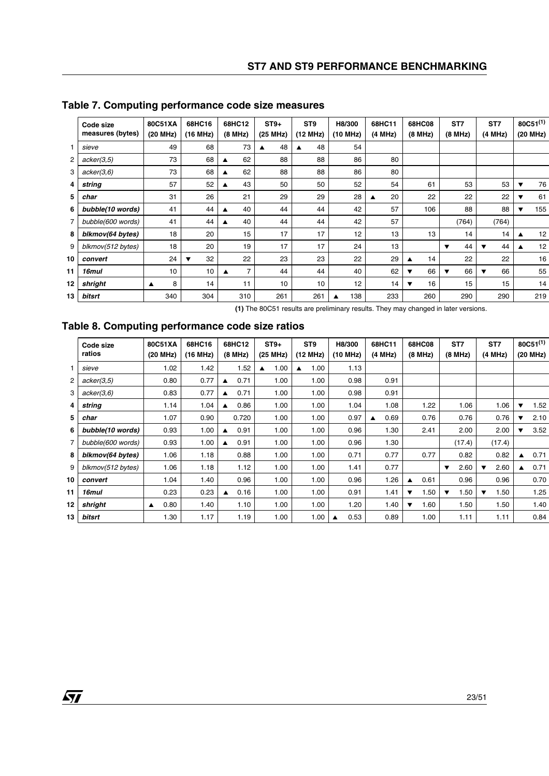|                | Code size<br>measures (bytes) | 80C51XA<br>(20 MHz) | 68HC16<br>(16 MHz) | 68HC12<br>(8 MHz) | $ST9+$<br>(25 MHz) | ST <sub>9</sub><br>(12 MHz) | H8/300<br>(10 MHz) | 68HC11<br>(4 MHz) | 68HC08<br>(8 MHz) | ST7<br>(8 MHz) | ST7<br>(4 MHz) |
|----------------|-------------------------------|---------------------|--------------------|-------------------|--------------------|-----------------------------|--------------------|-------------------|-------------------|----------------|----------------|
|                | sieve                         | 49                  | 68                 | 73                | 48<br>▲            | 48<br>▲                     | 54                 |                   |                   |                |                |
| $\overline{c}$ | acker(3,5)                    | 73                  | 68                 | 62<br>▲           | 88                 | 88                          | 86                 | 80                |                   |                |                |
| 3              | acker(3,6)                    | 73                  | 68                 | 62<br>▲           | 88                 | 88                          | 86                 | 80                |                   |                |                |
| 4              | string                        | 57                  | 52                 | 43<br>▲           | 50                 | 50                          | 52                 | 54                | 61                | 53             | 53             |
| 5              | char                          | 31                  | 26                 | 21                | 29                 | 29                          | 28                 | 20                | 22                | 22             | 22             |
| 6              | bubble(10 words)              | 41                  | 44                 | 40<br>▲           | 44                 | 44                          | 42                 | 57                | 106               | 88             | 88             |
| 7              | bubble(600 words)             | 41                  | 44                 | 40<br>▲           | 44                 | 44                          | 42                 | 57                |                   | (764)          | (764)          |
| 8              | blkmov(64 bytes)              | 18                  | 20                 | 15                | 17                 | 17                          | 12                 | 13                | 13                | 14             | 14             |
| 9              | blkmov(512 bytes)             | 18                  | 20                 | 19                | 17                 | 17                          | 24                 | 13                |                   | 44<br>▼        | 44<br>▼        |
| 10             | convert                       | 24                  | 32                 | 22                | 23                 | 23                          | 22                 | 29                | 14<br>▴           | 22             | 22             |
| 11             | 16mul                         | 10                  | 10                 | 7<br>▲            | 44                 | 44                          | 40                 | 62                | 66<br>▼           | 66<br>▼        | 66<br>▼        |
| 12             | shright                       | 8<br>▲              | 14                 | 11                | 10                 | 10                          | 12                 | 14                | 16<br>▼           | 15             | 15             |
| 13             | bitsrt                        | 340                 | 304                | 310               | 261                | 261                         | 138                | 233               | 260               | 290            | 290            |

# **Table 7. Computing performance code size measures**

**(1)** The 80C51 results are preliminary results. They may changed in later versions.

# **Table 8. Computing performance code size ratios**

|    | Code size<br>ratios | 80C51XA<br>(20 MHz)      | 68HC16<br>(16 MHz) | 68HC12<br>(8 MHz)        | $ST9+$<br>(25 MHz) | ST <sub>9</sub><br>(12 MHz) | H8/300<br>(10 MHz) | 68HC11<br>(4 MHz) | 68HC08<br>(8 MHz) | ST7<br>(8 MHz) | ST <sub>7</sub><br>(4 MHz)      |
|----|---------------------|--------------------------|--------------------|--------------------------|--------------------|-----------------------------|--------------------|-------------------|-------------------|----------------|---------------------------------|
|    | sieve               | 1.02                     | 1.42               | 1.52                     | 1.00<br>▲          | 1.00<br>▲                   | 1.13               |                   |                   |                |                                 |
| 2  | acker(3,5)          | 0.80                     | 0.77               | 0.71<br>$\blacktriangle$ | 1.00               | 1.00                        | 0.98               | 0.91              |                   |                |                                 |
| 3  | acker(3,6)          | 0.83                     | 0.77               | 0.71<br>▲                | 1.00               | 1.00                        | 0.98               | 0.91              |                   |                |                                 |
| 4  | string              | 1.14                     | 1.04               | 0.86<br>$\blacktriangle$ | 1.00               | 1.00                        | 1.04               | 1.08              | 1.22              | 1.06           | 1.06                            |
| 5  | char                | 1.07                     | 0.90               | 0.720                    | 1.00               | 1.00                        | 0.97               | 0.69              | 0.76              | 0.76           | 0.76                            |
| 6  | bubble(10 words)    | 0.93                     | 1.00               | 0.91                     | 1.00               | 1.00                        | 0.96               | 1.30              | 2.41              | 2.00           | 2.00                            |
| 7  | bubble(600 words)   | 0.93                     | 1.00               | 0.91<br>▲                | 1.00               | 1.00                        | 0.96               | 1.30              |                   | (17.4)         | (17.4)                          |
| 8  | blkmov(64 bytes)    | 1.06                     | 1.18               | 0.88                     | 1.00               | 1.00                        | 0.71               | 0.77              | 0.77              | 0.82           | 0.82                            |
| 9  | blkmov(512 bytes)   | 1.06                     | 1.18               | 1.12                     | 1.00               | 1.00                        | 1.41               | 0.77              |                   | 2.60<br>▼      | 2.60<br>$\overline{\mathbf{v}}$ |
| 10 | convert             | 1.04                     | 1.40               | 0.96                     | 1.00               | 1.00                        | 0.96               | 1.26              | 0.61<br>▲         | 0.96           | 0.96                            |
| 11 | 16mul               | 0.23                     | 0.23               | 0.16                     | 1.00               | 1.00                        | 0.91               | 1.41              | 1.50<br>▼         | 1.50<br>▼      | 1.50<br>$\overline{\textbf{v}}$ |
| 12 | shright             | 0.80<br>$\blacktriangle$ | 1.40               | 1.10                     | 1.00               | 1.00                        | 1.20               | 1.40              | 1.60<br>▼         | 1.50           | 1.50                            |
| 13 | bitsrt              | 1.30                     | 1.17               | 1.19                     | 1.00               | 1.00                        | 0.53               | 0.89              | 1.00              | 1.11           | 1.11                            |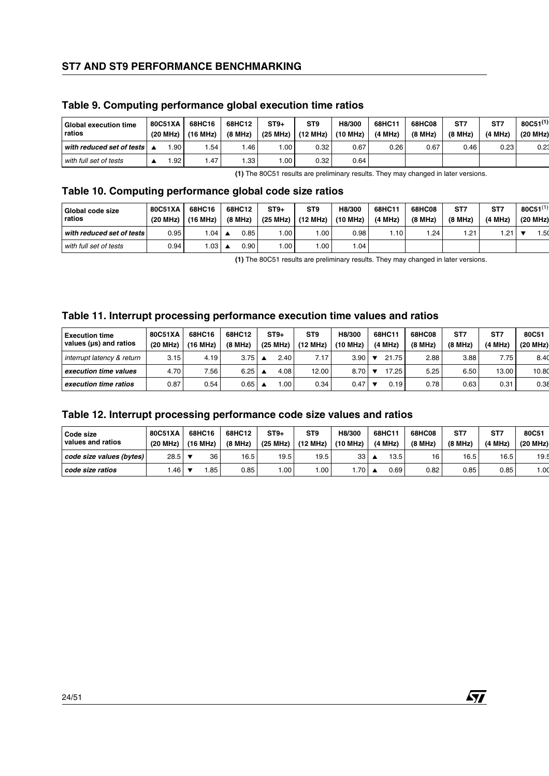| <b>Global execution time</b><br>ratios | 80C51XA<br>(20 MHz) | 68HC16<br>(16 MHz) | 68HC12<br>(8 MHz) | $ST9+$<br>(25 MHz) | ST <sub>9</sub><br>(12 MHz) | H8/300<br>(10 MHz) | 68HC11<br>(4 MHz) | 68HC08<br>(8 MHz) | ST7<br>(8 MHz) | ST.<br>(4 MHz) |
|----------------------------------------|---------------------|--------------------|-------------------|--------------------|-----------------------------|--------------------|-------------------|-------------------|----------------|----------------|
| with reduced set of tests              | .90 l               | .54                | .46               | .00                | 0.32                        | 0.67               | 0.26              | 0.67              | 0.46           | 0.23           |
| with full set of tests                 | .92 <sub>1</sub>    | .47                | .33 <sup>1</sup>  | .00                | 0.32                        | 0.64               |                   |                   |                |                |

### **Table 9. Computing performance global execution time ratios**

**(1)** The 80C51 results are preliminary results. They may changed in later versions.

# **Table 10. Computing performance global code size ratios**

| Global code size<br>ratios | 80C51XA<br>(20 MHz) | 68HC16<br>(16 MHz) |                  | 68HC12<br>(8 MHz) | $ST9+$<br>(25 MHz) | ST <sub>9</sub><br>(12 MHz) | H8/300<br>(10 MHz) | 68HC11<br>(4 MHz) | 68HC08<br>(8 MHz) | ST7<br>(8 MHz) | ST.<br>(4 MHz) |
|----------------------------|---------------------|--------------------|------------------|-------------------|--------------------|-----------------------------|--------------------|-------------------|-------------------|----------------|----------------|
| with reduced set of tests  | 0.95                | .04                |                  | 0.85              | .00.               | 00.1                        | 0.98 <sub>1</sub>  | .10               | .24               | .21            | 1.21           |
| with full set of tests     | 0.94                | .03                | $\blacktriangle$ | 0.90              | .00                | 00.1                        | .04                |                   |                   |                |                |

**(1)** The 80C51 results are preliminary results. They may changed in later versions.

### **Table 11. Interrupt processing performance execution time values and ratios**

| <b>Execution time</b><br>values (us) and ratios | 80C51XA<br>(20 MHz) | 68HC16<br>(16 MHz) | 68HC12<br>(8 MHz) | $ST9+$<br>(25 MHz) | ST <sub>9</sub><br>(12 MHz) | H8/300<br>(10 MHz) | 68HC11<br>(4 MHz) | 68HC08<br>(8 MHz) | ST7<br>(8 MHz) | ST7<br>(4 MHz) |
|-------------------------------------------------|---------------------|--------------------|-------------------|--------------------|-----------------------------|--------------------|-------------------|-------------------|----------------|----------------|
| interrupt latency & return                      | 3.15                | 4.19               | 3.75              | 2.40               | 7.17.                       | 3.90               | 21.75             | 2.88              | 3.88           | 7.75           |
| execution time values                           | 4.70                | 7.56               | 6.25              | 4.08               | 12.00                       | 8.70               | 17.25             | 5.25              | 6.50           | 13.00          |
| execution time ratios                           | 0.87                | 0.54               | 0.65              | .00                | 0.34                        | 0.47               | 0.19              | 0.78              | 0.63           | 0.31           |

# **Table 12. Interrupt processing performance code size values and ratios**

| Code size<br>values and ratios | 80C51XA<br>(20 MHz) | 68HC16<br>(16 MHz) |    | 68HC12<br>(8 MHz) | $ST9+$<br>(25 MHz) | ST <sub>9</sub><br>(12 MHz) | H8/300<br>(10 MHz) | 68HC11<br>(4 MHz) | 68HC08<br>(8 MHz) | ST7<br>(8 MHz) | ST7<br>(4 MHz) |
|--------------------------------|---------------------|--------------------|----|-------------------|--------------------|-----------------------------|--------------------|-------------------|-------------------|----------------|----------------|
| code size values (bytes)       | $28.5$ $\sqrt{ }$   |                    | 36 | 16.5              | 19.5               | 19.5                        | 33 <sub>1</sub>    | 13.5              | 16                | 16.5           | 16.5           |
| code size ratios               | .46 <sub>1</sub>    |                    | 85 | 0.85              | .00                | .00                         | .70 L              | 0.69              | 0.82              | 0.85           | 0.85           |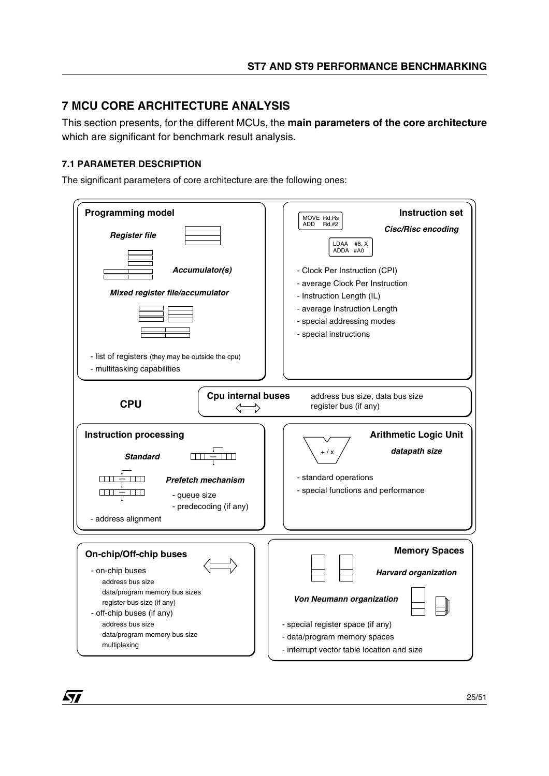# <span id="page-24-0"></span>**7 MCU CORE ARCHITECTURE ANALYSIS**

This section presents, for the different MCUs, the **main parameters of the core architecture** which are significant for benchmark result analysis.

# **7.1 PARAMETER DESCRIPTION**

57

The significant parameters of core architecture are the following ones:

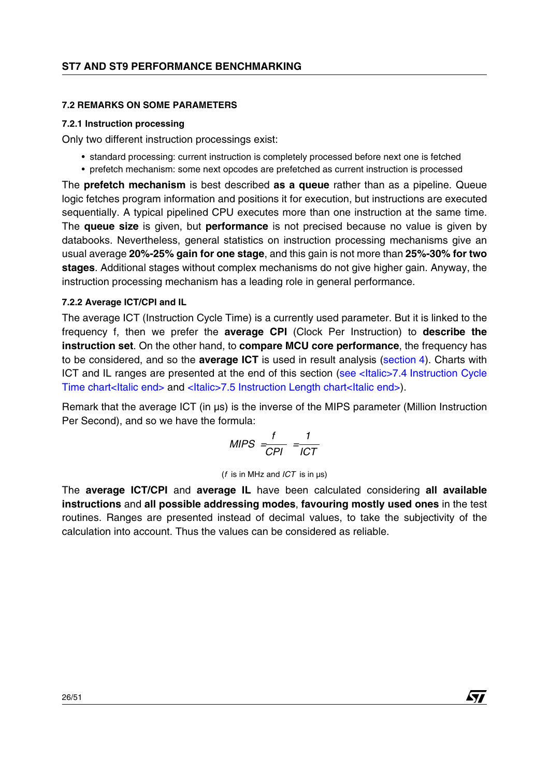# **7.2 REMARKS ON SOME PARAMETERS**

### **7.2.1 Instruction processing**

Only two different instruction processings exist:

- standard processing: current instruction is completely processed before next one is fetched
- prefetch mechanism: some next opcodes are prefetched as current instruction is processed

The **prefetch mechanism** is best described **as a queue** rather than as a pipeline. Queue logic fetches program information and positions it for execution, but instructions are executed sequentially. A typical pipelined CPU executes more than one instruction at the same time. The **queue size** is given, but **performance** is not precised because no value is given by databooks. Nevertheless, general statistics on instruction processing mechanisms give an usual average **20%-25% gain for one stage**, and this gain is not more than **25%-30% for two stages**. Additional stages without complex mechanisms do not give higher gain. Anyway, the instruction processing mechanism has a leading role in general performance.

# <span id="page-25-0"></span>**7.2.2 Average ICT/CPI and IL**

The average ICT (Instruction Cycle Time) is a currently used parameter. But it is linked to the frequency f, then we prefer the **average CPI** (Clock Per Instruction) to **describe the instruction set**. On the other hand, to **compare MCU core performance**, the frequency has to be considered, and so the **average ICT** is used in result analysis [\(section](#page-10-0) 4). Charts with ICT and IL ranges are presented at the end of this section (see <Italic>7.4 [Instruction Cycle](#page-39-0)  [Time chart<Italic end>](#page-39-0) and <Italic>7.5 [Instruction Length chart<Italic end>\)](#page-39-1).

Remark that the average ICT (in µs) is the inverse of the MIPS parameter (Million Instruction Per Second), and so we have the formula:

$$
MIPS = \frac{f}{CPI} = \frac{1}{ICT}
$$

(*f* is in MHz and *ICT* is in µs)

The **average ICT/CPI** and **average IL** have been calculated considering **all available instructions** and **all possible addressing modes**, **favouring mostly used ones** in the test routines. Ranges are presented instead of decimal values, to take the subjectivity of the calculation into account. Thus the values can be considered as reliable.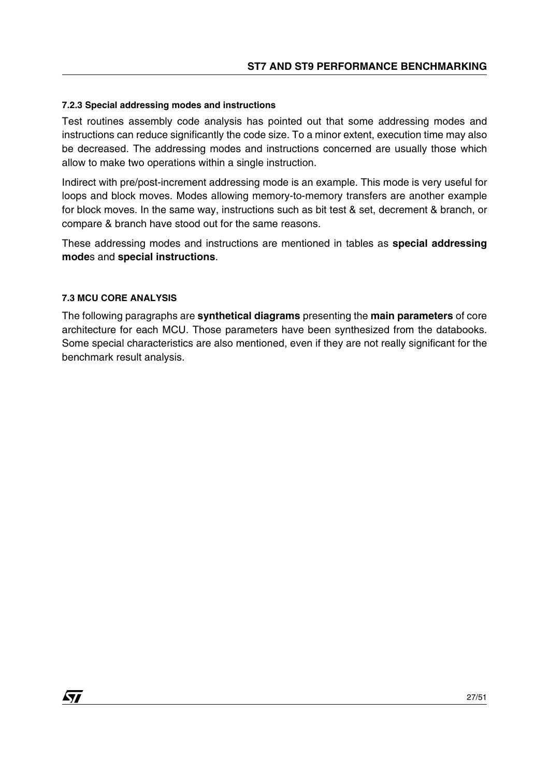# **7.2.3 Special addressing modes and instructions**

Test routines assembly code analysis has pointed out that some addressing modes and instructions can reduce significantly the code size. To a minor extent, execution time may also be decreased. The addressing modes and instructions concerned are usually those which allow to make two operations within a single instruction.

Indirect with pre/post-increment addressing mode is an example. This mode is very useful for loops and block moves. Modes allowing memory-to-memory transfers are another example for block moves. In the same way, instructions such as bit test & set, decrement & branch, or compare & branch have stood out for the same reasons.

These addressing modes and instructions are mentioned in tables as **special addressing mode**s and **special instructions**.

### **7.3 MCU CORE ANALYSIS**

57

The following paragraphs are **synthetical diagrams** presenting the **main parameters** of core architecture for each MCU. Those parameters have been synthesized from the databooks. Some special characteristics are also mentioned, even if they are not really significant for the benchmark result analysis.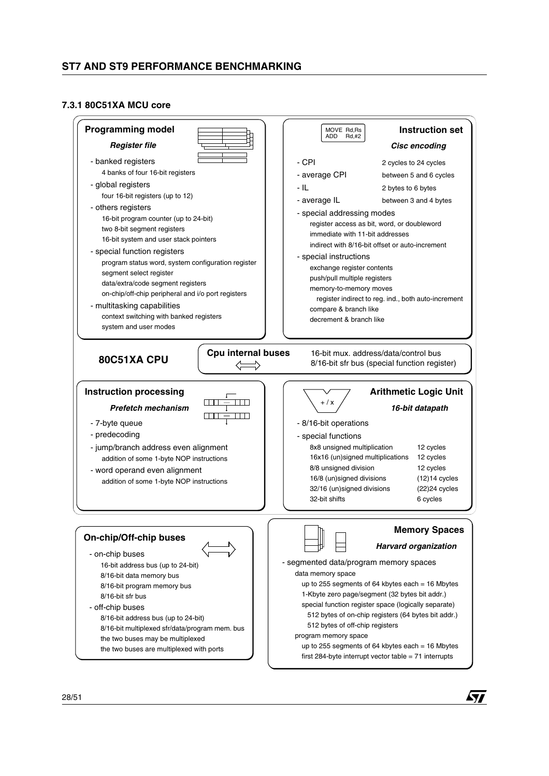#### **7.3.1 80C51XA MCU core**

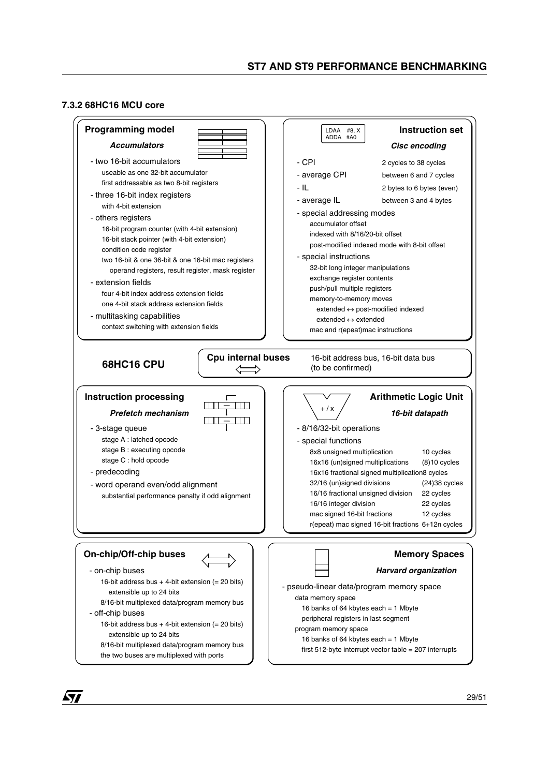#### **7.3.2 68HC16 MCU core**

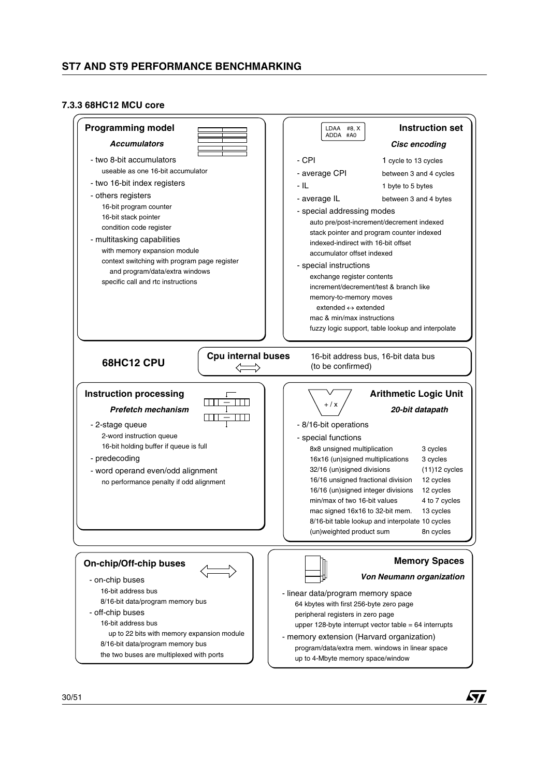#### **7.3.3 68HC12 MCU core**

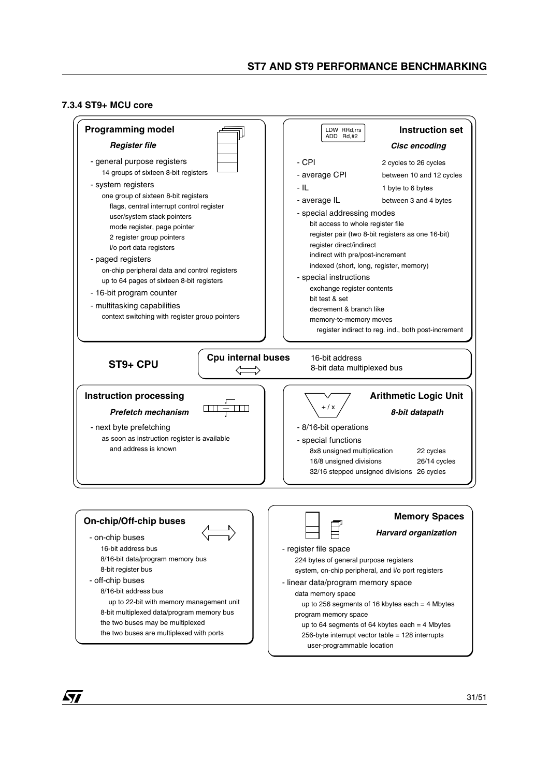#### <span id="page-30-0"></span>**7.3.4 ST9+ MCU core**

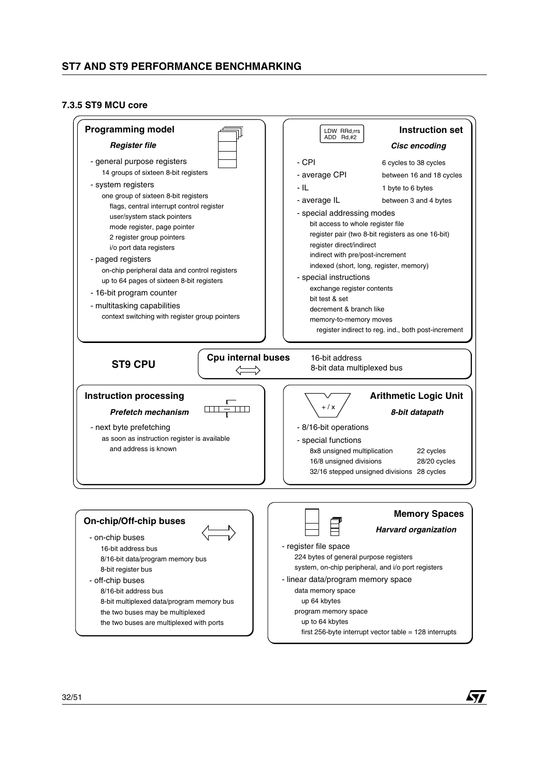#### **7.3.5 ST9 MCU core**

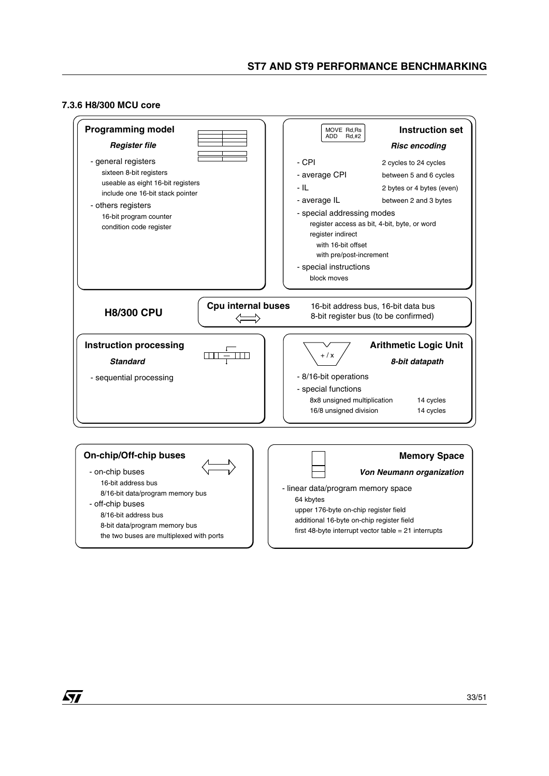#### **7.3.6 H8/300 MCU core**

![](_page_32_Figure_2.jpeg)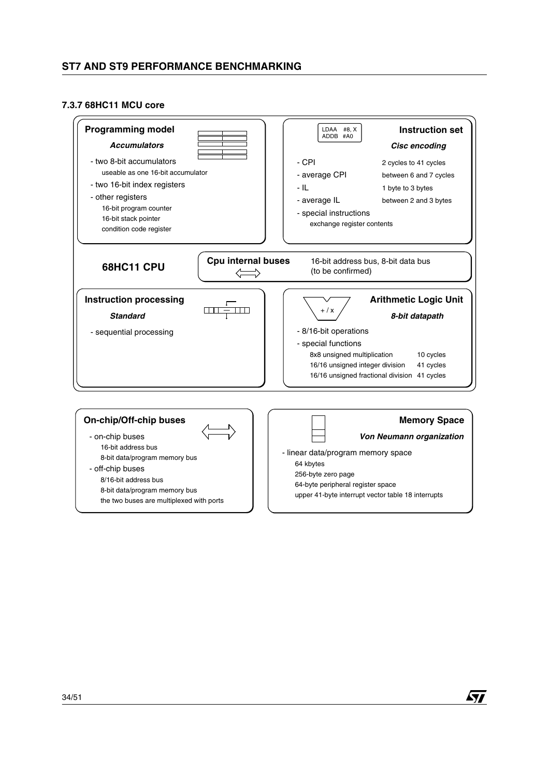#### **7.3.7 68HC11 MCU core**

![](_page_33_Figure_2.jpeg)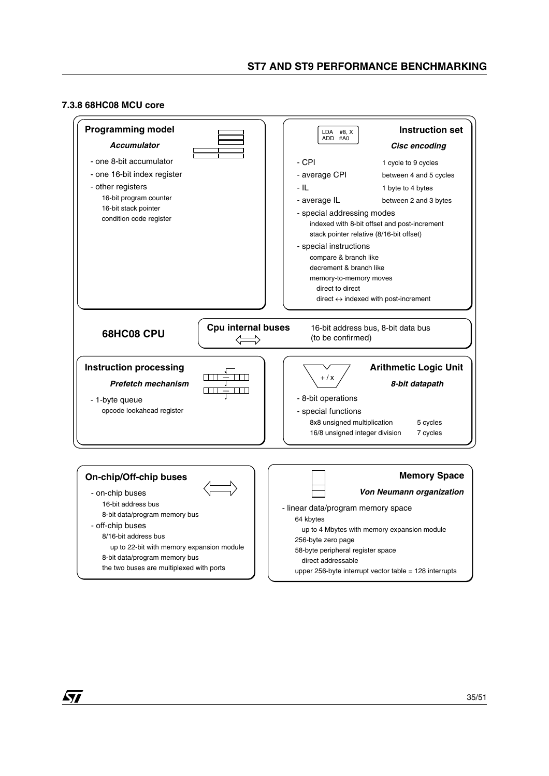#### **7.3.8 68HC08 MCU core**

![](_page_34_Figure_2.jpeg)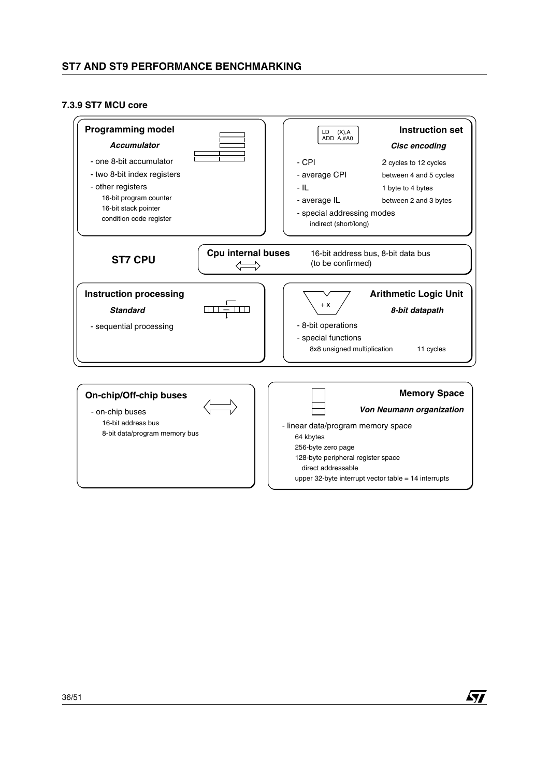#### <span id="page-35-0"></span>**7.3.9 ST7 MCU core**

| <b>Programming model</b><br><b>Accumulator</b><br>- one 8-bit accumulator<br>- two 8-bit index registers<br>- other registers<br>16-bit program counter<br>16-bit stack pointer<br>condition code register | <b>Instruction set</b><br>LD<br>(X), A<br>ADD A,#A0<br>Cisc encoding<br>- CPI<br>2 cycles to 12 cycles<br>- average CPI<br>between 4 and 5 cycles<br>- IL<br>1 byte to 4 bytes<br>- average IL<br>between 2 and 3 bytes<br>- special addressing modes<br>indirect (short/long) |
|------------------------------------------------------------------------------------------------------------------------------------------------------------------------------------------------------------|--------------------------------------------------------------------------------------------------------------------------------------------------------------------------------------------------------------------------------------------------------------------------------|
| Cpu internal buses<br><b>ST7 CPU</b>                                                                                                                                                                       | 16-bit address bus, 8-bit data bus<br>(to be confirmed)                                                                                                                                                                                                                        |
| <b>Instruction processing</b><br><b>Standard</b><br>- sequential processing                                                                                                                                | <b>Arithmetic Logic Unit</b><br>$+ X$<br>8-bit datapath<br>- 8-bit operations<br>- special functions<br>8x8 unsigned multiplication<br>11 cycles                                                                                                                               |
| <b>On-chip/Off-chip buses</b><br>- on-chip buses<br>16-bit address bus<br>8-bit data/program memory bus                                                                                                    | <b>Memory Space</b><br><b>Von Neumann organization</b><br>- linear data/program memory space<br>64 kbytes<br>256-byte zero page<br>128-byte peripheral register space<br>direct addressable<br>upper 32-byte interrupt vector table $= 14$ interrupts                          |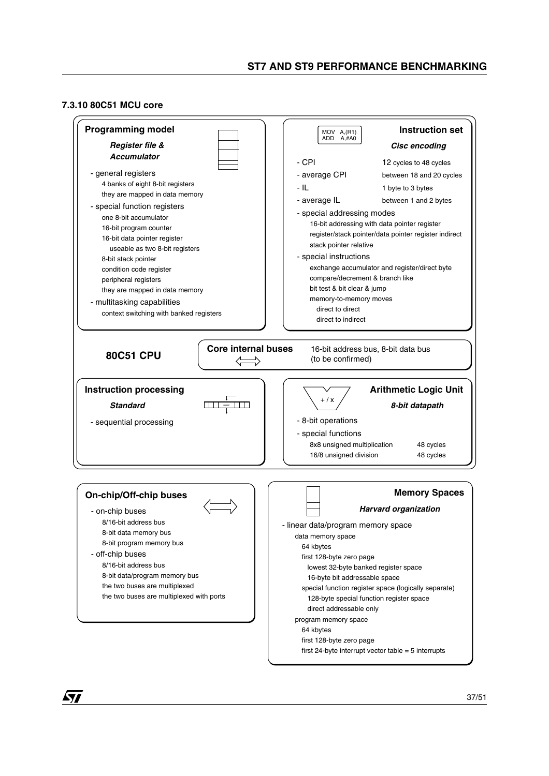#### **7.3.10 80C51 MCU core**

![](_page_36_Figure_2.jpeg)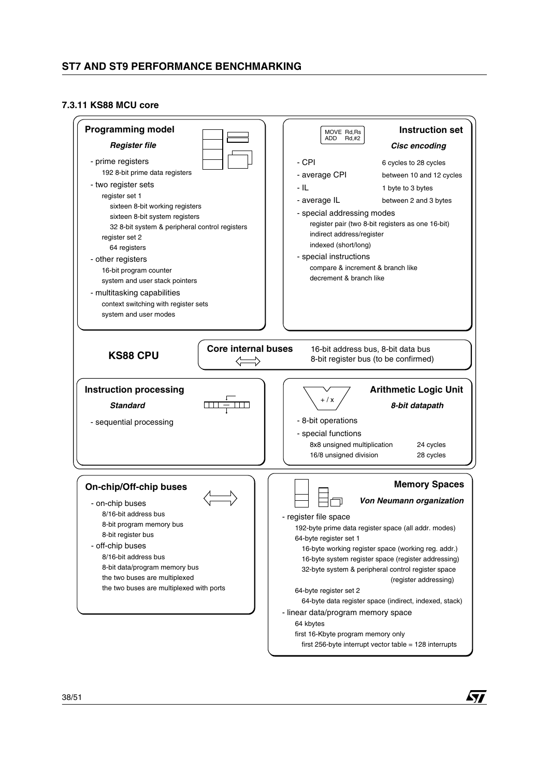#### **7.3.11 KS88 MCU core**

| <b>Programming model</b><br><b>Register file</b><br>- prime registers<br>192 8-bit prime data registers<br>- two register sets<br>register set 1<br>sixteen 8-bit working registers<br>sixteen 8-bit system registers<br>32 8-bit system & peripheral control registers<br>register set 2<br>64 registers<br>- other registers<br>16-bit program counter<br>system and user stack pointers<br>- multitasking capabilities<br>context switching with register sets<br>system and user modes | <b>Instruction set</b><br>MOVE Rd, Rs<br>ADD<br>Rd,#2<br>Cisc encoding<br>- CPI<br>6 cycles to 28 cycles<br>- average CPI<br>between 10 and 12 cycles<br>- IL<br>1 byte to 3 bytes<br>- average IL<br>between 2 and 3 bytes<br>- special addressing modes<br>register pair (two 8-bit registers as one 16-bit)<br>indirect address/register<br>indexed (short/long)<br>- special instructions<br>compare & increment & branch like<br>decrement & branch like                                                                                                                                     |
|--------------------------------------------------------------------------------------------------------------------------------------------------------------------------------------------------------------------------------------------------------------------------------------------------------------------------------------------------------------------------------------------------------------------------------------------------------------------------------------------|---------------------------------------------------------------------------------------------------------------------------------------------------------------------------------------------------------------------------------------------------------------------------------------------------------------------------------------------------------------------------------------------------------------------------------------------------------------------------------------------------------------------------------------------------------------------------------------------------|
| <b>Core internal buses</b><br><b>KS88 CPU</b>                                                                                                                                                                                                                                                                                                                                                                                                                                              | 16-bit address bus, 8-bit data bus<br>8-bit register bus (to be confirmed)                                                                                                                                                                                                                                                                                                                                                                                                                                                                                                                        |
| <b>Instruction processing</b><br><b>Standard</b><br>- sequential processing                                                                                                                                                                                                                                                                                                                                                                                                                | <b>Arithmetic Logic Unit</b><br>$+ / x$<br>8-bit datapath<br>- 8-bit operations<br>- special functions<br>8x8 unsigned multiplication<br>24 cycles<br>16/8 unsigned division<br>28 cycles                                                                                                                                                                                                                                                                                                                                                                                                         |
| <b>On-chip/Off-chip buses</b><br>- on-chip buses<br>8/16-bit address bus<br>8-bit program memory bus<br>8-bit register bus<br>- off-chip buses<br>8/16-bit address bus<br>8-bit data/program memory bus<br>the two buses are multiplexed<br>the two buses are multiplexed with ports                                                                                                                                                                                                       | <b>Memory Spaces</b><br>Von Neumann organization<br>- register file space<br>192-byte prime data register space (all addr. modes)<br>64-byte register set 1<br>16-byte working register space (working reg. addr.)<br>16-byte system register space (register addressing)<br>32-byte system & peripheral control register space<br>(register addressing)<br>64-byte register set 2<br>64-byte data register space (indirect, indexed, stack)<br>- linear data/program memory space<br>64 kbytes<br>first 16-Kbyte program memory only<br>first 256-byte interrupt vector table = $128$ interrupts |

 $\sqrt{2}$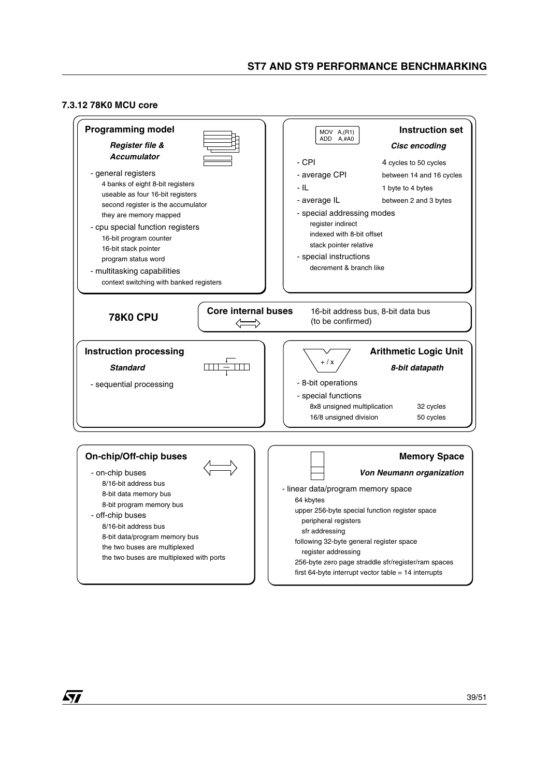#### **7.3.12 78K0 MCU core**

![](_page_38_Figure_2.jpeg)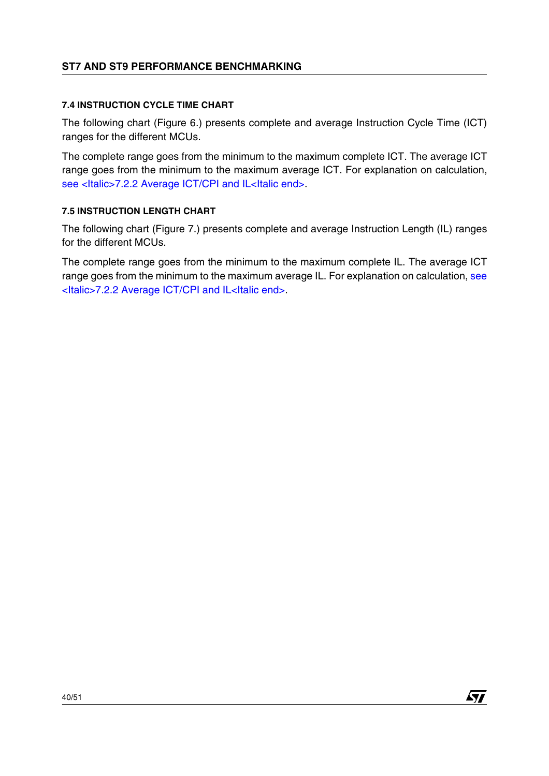# <span id="page-39-0"></span>**7.4 INSTRUCTION CYCLE TIME CHART**

The following chart (Figure 6.) presents complete and average Instruction Cycle Time (ICT) ranges for the different MCUs.

The complete range goes from the minimum to the maximum complete ICT. The average ICT range goes from the minimum to the maximum average ICT. For explanation on calculation, [see <Italic>7.2.2 Average ICT/CPI and IL<Italic end>](#page-25-0).

# <span id="page-39-1"></span>**7.5 INSTRUCTION LENGTH CHART**

The following chart (Figure 7.) presents complete and average Instruction Length (IL) ranges for the different MCUs.

The complete range goes from the minimum to the maximum complete IL. The average ICT range goes from the minimum to the maximum average IL. For explanation on calculation, see [<Italic>7.2.2 Average ICT/CPI and IL<Italic end>.](#page-25-0)

**Ayy**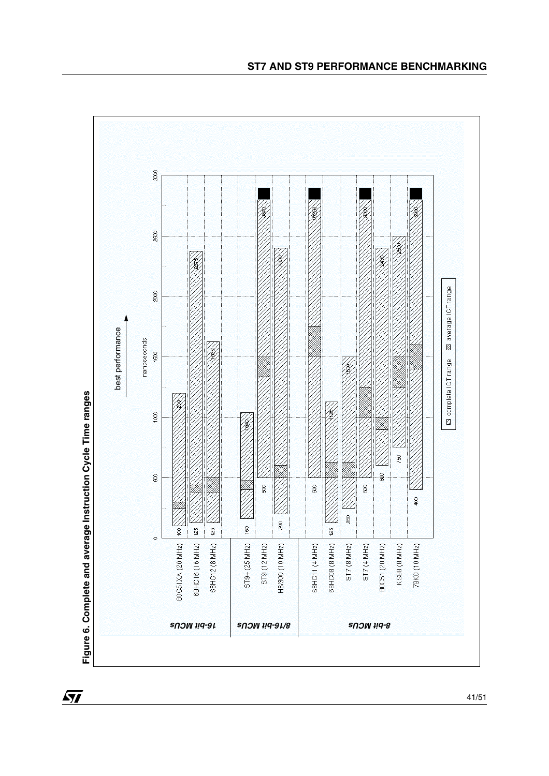![](_page_40_Figure_1.jpeg)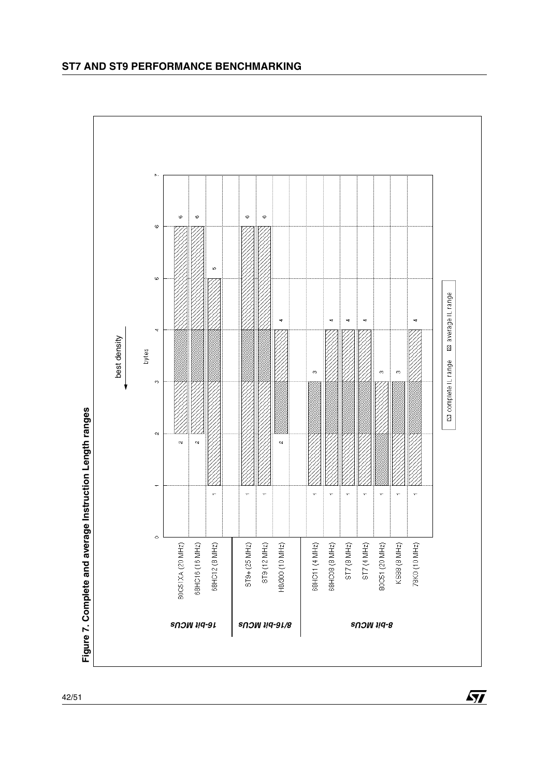![](_page_41_Figure_1.jpeg)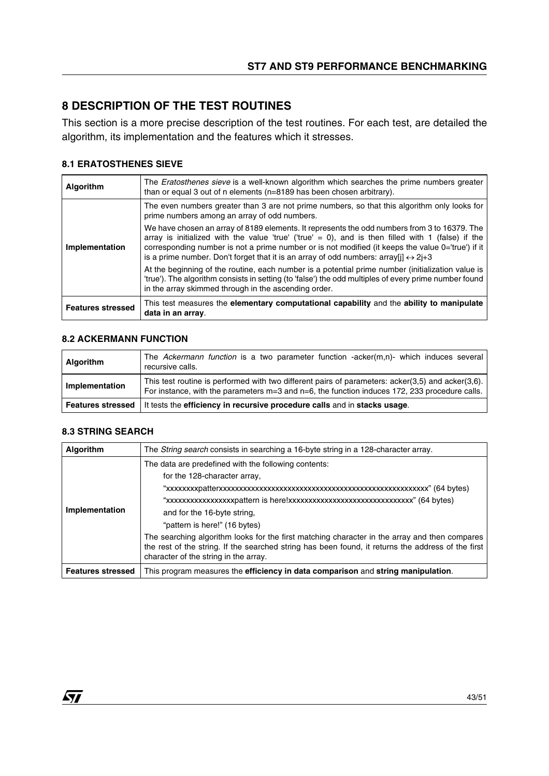# <span id="page-42-0"></span>**8 DESCRIPTION OF THE TEST ROUTINES**

This section is a more precise description of the test routines. For each test, are detailed the algorithm, its implementation and the features which it stresses.

# **8.1 ERATOSTHENES SIEVE**

| Algorithm                | The <i>Eratosthenes sieve</i> is a well-known algorithm which searches the prime numbers greater<br>than or equal 3 out of n elements (n=8189 has been chosen arbitrary).                                                                                                                                                                                                                                                  |
|--------------------------|----------------------------------------------------------------------------------------------------------------------------------------------------------------------------------------------------------------------------------------------------------------------------------------------------------------------------------------------------------------------------------------------------------------------------|
|                          | The even numbers greater than 3 are not prime numbers, so that this algorithm only looks for<br>prime numbers among an array of odd numbers.                                                                                                                                                                                                                                                                               |
| Implementation           | We have chosen an array of 8189 elements. It represents the odd numbers from 3 to 16379. The<br>array is initialized with the value 'true' ('true' = 0), and is then filled with 1 (false) if the<br>corresponding number is not a prime number or is not modified (it keeps the value 0='true') if it<br>is a prime number. Don't forget that it is an array of odd numbers: $\arctan(\frac{1}{2} \leftrightarrow 2 + 3)$ |
|                          | At the beginning of the routine, each number is a potential prime number (initialization value is<br>'true'). The algorithm consists in setting (to 'false') the odd multiples of every prime number found<br>in the array skimmed through in the ascending order.                                                                                                                                                         |
| <b>Features stressed</b> | This test measures the elementary computational capability and the ability to manipulate<br>data in an array.                                                                                                                                                                                                                                                                                                              |

### **8.2 ACKERMANN FUNCTION**

| <b>Algorithm</b>         | The Ackermann function is a two parameter function -acker(m,n)- which induces several<br>recursive calls.                                                                                               |
|--------------------------|---------------------------------------------------------------------------------------------------------------------------------------------------------------------------------------------------------|
| Implementation           | This test routine is performed with two different pairs of parameters: acker(3,5) and acker(3,6).<br>For instance, with the parameters $m=3$ and $n=6$ , the function induces 172, 233 procedure calls. |
| <b>Features stressed</b> | It tests the efficiency in recursive procedure calls and in stacks usage.                                                                                                                               |

# **8.3 STRING SEARCH**

**STT** 

| <b>Algorithm</b>         | The String search consists in searching a 16-byte string in a 128-character array.                                                                                                                                                                                                                                                                                                                                                                                                  |
|--------------------------|-------------------------------------------------------------------------------------------------------------------------------------------------------------------------------------------------------------------------------------------------------------------------------------------------------------------------------------------------------------------------------------------------------------------------------------------------------------------------------------|
| Implementation           | The data are predefined with the following contents:<br>for the 128-character array,<br>"xxxxxxxxxxxxxxxxpattern is here!xxxxxxxxxxxxxxxxxxxxxxxxxxxxxx" (64 bytes)<br>and for the 16-byte string,<br>"pattern is here!" (16 bytes)<br>The searching algorithm looks for the first matching character in the array and then compares<br>the rest of the string. If the searched string has been found, it returns the address of the first<br>character of the string in the array. |
| <b>Features stressed</b> | This program measures the efficiency in data comparison and string manipulation.                                                                                                                                                                                                                                                                                                                                                                                                    |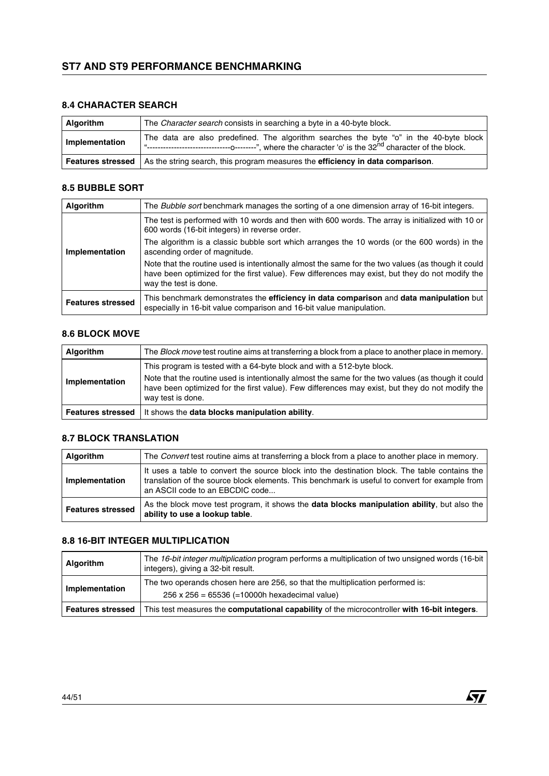# **8.4 CHARACTER SEARCH**

| Algorithm      | The Character search consists in searching a byte in a 40-byte block.                                             |
|----------------|-------------------------------------------------------------------------------------------------------------------|
| Implementation | The data are also predefined. The algorithm searches the byte "o" in the 40-byte block                            |
|                | <b>Features stressed</b>   As the string search, this program measures the <b>efficiency in data comparison</b> . |

#### **8.5 BUBBLE SORT**

| <b>Algorithm</b>         | The <i>Bubble sort</i> benchmark manages the sorting of a one dimension array of 16-bit integers.                                                                                                                              |  |  |  |
|--------------------------|--------------------------------------------------------------------------------------------------------------------------------------------------------------------------------------------------------------------------------|--|--|--|
| Implementation           | The test is performed with 10 words and then with 600 words. The array is initialized with 10 or<br>600 words (16-bit integers) in reverse order.                                                                              |  |  |  |
|                          | The algorithm is a classic bubble sort which arranges the 10 words (or the 600 words) in the<br>ascending order of magnitude.                                                                                                  |  |  |  |
|                          | Note that the routine used is intentionally almost the same for the two values (as though it could<br>have been optimized for the first value). Few differences may exist, but they do not modify the<br>way the test is done. |  |  |  |
| <b>Features stressed</b> | This benchmark demonstrates the efficiency in data comparison and data manipulation but<br>especially in 16-bit value comparison and 16-bit value manipulation.                                                                |  |  |  |

#### **8.6 BLOCK MOVE**

| <b>Algorithm</b>         | The Block move test routine aims at transferring a block from a place to another place in memory.                                                                                                                                                                                                    |  |  |  |
|--------------------------|------------------------------------------------------------------------------------------------------------------------------------------------------------------------------------------------------------------------------------------------------------------------------------------------------|--|--|--|
| Implementation           | This program is tested with a 64-byte block and with a 512-byte block.<br>Note that the routine used is intentionally almost the same for the two values (as though it could<br>have been optimized for the first value). Few differences may exist, but they do not modify the<br>way test is done. |  |  |  |
| <b>Features stressed</b> | It shows the data blocks manipulation ability.                                                                                                                                                                                                                                                       |  |  |  |

#### **8.7 BLOCK TRANSLATION**

| <b>Algorithm</b>         | The Convert test routine aims at transferring a block from a place to another place in memory.                                                                                                                                      |  |  |  |
|--------------------------|-------------------------------------------------------------------------------------------------------------------------------------------------------------------------------------------------------------------------------------|--|--|--|
| Implementation           | It uses a table to convert the source block into the destination block. The table contains the<br>translation of the source block elements. This benchmark is useful to convert for example from<br>an ASCII code to an EBCDIC code |  |  |  |
| <b>Features stressed</b> | As the block move test program, it shows the <b>data blocks manipulation ability</b> , but also the<br>ability to use a lookup table.                                                                                               |  |  |  |

#### **8.8 16-BIT INTEGER MULTIPLICATION**

| <b>Algorithm</b>         | The 16-bit integer multiplication program performs a multiplication of two unsigned words (16-bit<br>integers), giving a 32-bit result. |  |
|--------------------------|-----------------------------------------------------------------------------------------------------------------------------------------|--|
| Implementation           | The two operands chosen here are 256, so that the multiplication performed is:<br>$256 \times 256 = 65536 (=10000h$ hexadecimal value)  |  |
| <b>Features stressed</b> | This test measures the <b>computational capability</b> of the microcontroller with 16-bit integers.                                     |  |

*ST*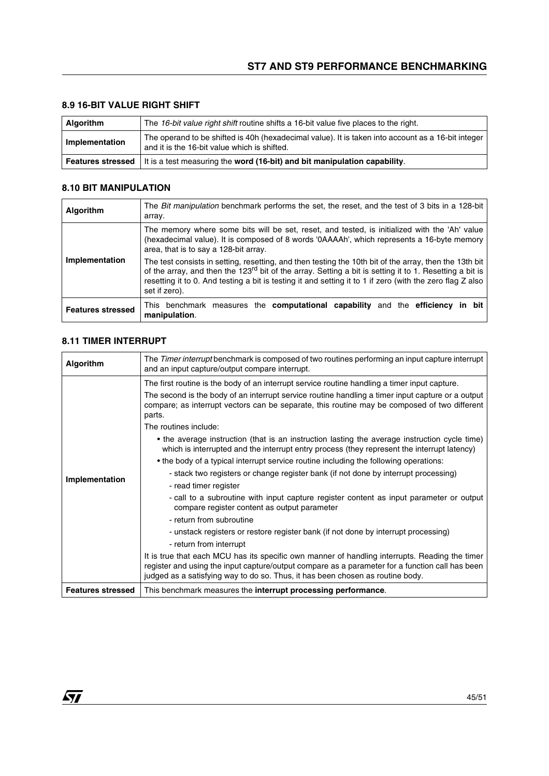| <b>Algorithm</b> | The 16-bit value right shift routine shifts a 16-bit value five places to the right.                                                               |  |  |
|------------------|----------------------------------------------------------------------------------------------------------------------------------------------------|--|--|
| Implementation   | The operand to be shifted is 40h (hexadecimal value). It is taken into account as a 16-bit integer<br>and it is the 16-bit value which is shifted. |  |  |
|                  | <b>Features stressed</b> It is a test measuring the <b>word (16-bit)</b> and bit manipulation capability.                                          |  |  |

#### **8.9 16-BIT VALUE RIGHT SHIFT**

#### **8.10 BIT MANIPULATION**

| <b>Algorithm</b>         | The <i>Bit manipulation</i> benchmark performs the set, the reset, and the test of 3 bits in a 128-bit<br>array.                                                                                                                                                                                                                                            |  |  |  |  |
|--------------------------|-------------------------------------------------------------------------------------------------------------------------------------------------------------------------------------------------------------------------------------------------------------------------------------------------------------------------------------------------------------|--|--|--|--|
|                          | The memory where some bits will be set, reset, and tested, is initialized with the 'Ah' value<br>(hexadecimal value). It is composed of 8 words '0AAAAh', which represents a 16-byte memory<br>area, that is to say a 128-bit array.                                                                                                                        |  |  |  |  |
| Implementation           | The test consists in setting, resetting, and then testing the 10th bit of the array, then the 13th bit<br>of the array, and then the 123 <sup>rd</sup> bit of the array. Setting a bit is setting it to 1. Resetting a bit is<br>resetting it to 0. And testing a bit is testing it and setting it to 1 if zero (with the zero flag Z also<br>set if zero). |  |  |  |  |
| <b>Features stressed</b> | This benchmark measures the computational capability and the efficiency in bit<br>manipulation.                                                                                                                                                                                                                                                             |  |  |  |  |

#### **8.11 TIMER INTERRUPT**

| Algorithm                | The <i>Timer interrupt</i> benchmark is composed of two routines performing an input capture interrupt<br>and an input capture/output compare interrupt.                                                                                                                                                                                                                                                                                                                                                                                                                                                                                                                                                                                                                                                                                                                                                                                                                                                                                                                                                                                                                                                                                                                                                                      |  |  |  |
|--------------------------|-------------------------------------------------------------------------------------------------------------------------------------------------------------------------------------------------------------------------------------------------------------------------------------------------------------------------------------------------------------------------------------------------------------------------------------------------------------------------------------------------------------------------------------------------------------------------------------------------------------------------------------------------------------------------------------------------------------------------------------------------------------------------------------------------------------------------------------------------------------------------------------------------------------------------------------------------------------------------------------------------------------------------------------------------------------------------------------------------------------------------------------------------------------------------------------------------------------------------------------------------------------------------------------------------------------------------------|--|--|--|
| Implementation           | The first routine is the body of an interrupt service routine handling a timer input capture.<br>The second is the body of an interrupt service routine handling a timer input capture or a output<br>compare; as interrupt vectors can be separate, this routine may be composed of two different<br>parts.<br>The routines include:<br>• the average instruction (that is an instruction lasting the average instruction cycle time)<br>which is interrupted and the interrupt entry process (they represent the interrupt latency)<br>• the body of a typical interrupt service routine including the following operations:<br>- stack two registers or change register bank (if not done by interrupt processing)<br>- read timer register<br>- call to a subroutine with input capture register content as input parameter or output<br>compare register content as output parameter<br>- return from subroutine<br>- unstack registers or restore register bank (if not done by interrupt processing)<br>- return from interrupt<br>It is true that each MCU has its specific own manner of handling interrupts. Reading the timer<br>register and using the input capture/output compare as a parameter for a function call has been<br>judged as a satisfying way to do so. Thus, it has been chosen as routine body. |  |  |  |
| <b>Features stressed</b> | This benchmark measures the <b>interrupt processing performance</b> .                                                                                                                                                                                                                                                                                                                                                                                                                                                                                                                                                                                                                                                                                                                                                                                                                                                                                                                                                                                                                                                                                                                                                                                                                                                         |  |  |  |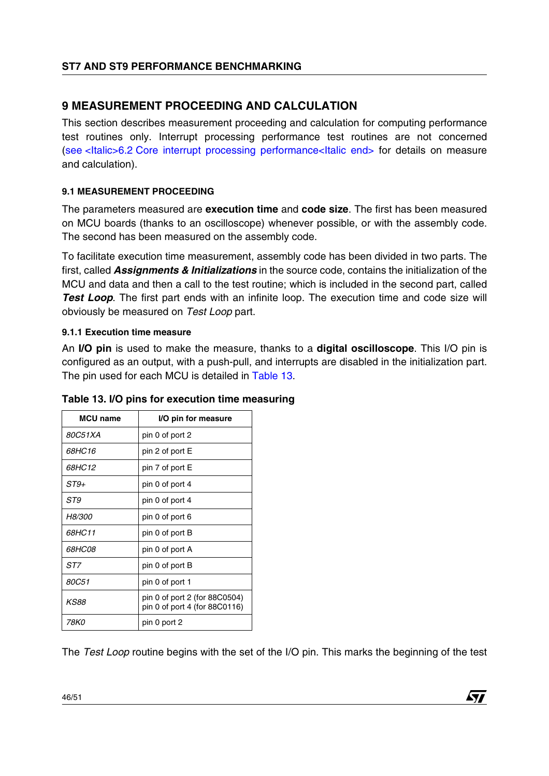# <span id="page-45-0"></span>**9 MEASUREMENT PROCEEDING AND CALCULATION**

This section describes measurement proceeding and calculation for computing performance test routines only. Interrupt processing performance test routines are not concerned (see <Italic>6.2 [Core interrupt processing performance<Italic end>](#page-20-1) for details on measure and calculation).

# **9.1 MEASUREMENT PROCEEDING**

The parameters measured are **execution time** and **code size**. The first has been measured on MCU boards (thanks to an oscilloscope) whenever possible, or with the assembly code. The second has been measured on the assembly code.

To facilitate execution time measurement, assembly code has been divided in two parts. The first, called *Assignments & Initializations* in the source code, contains the initialization of the MCU and data and then a call to the test routine; which is included in the second part, called *Test Loop*. The first part ends with an infinite loop. The execution time and code size will obviously be measured on *Test Loop* part.

#### <span id="page-45-1"></span>**9.1.1 Execution time measure**

An **I/O pin** is used to make the measure, thanks to a **digital oscilloscope**. This I/O pin is configured as an output, with a push-pull, and interrupts are disabled in the initialization part. The pin used for each MCU is detailed in Table 13.

| <b>MCU</b> name | I/O pin for measure                                            |
|-----------------|----------------------------------------------------------------|
| 80C51XA         | pin 0 of port 2                                                |
| 68HC16          | pin 2 of port E                                                |
| 68HC12          | pin 7 of port E                                                |
| ST9+            | pin 0 of port 4                                                |
| ST9             | pin 0 of port 4                                                |
| <i>H8/300</i>   | pin 0 of port 6                                                |
| 68HC11          | pin 0 of port B                                                |
| <i>68HC08</i>   | pin 0 of port A                                                |
| ST7             | pin 0 of port B                                                |
| 80C51           | pin 0 of port 1                                                |
| KS88            | pin 0 of port 2 (for 88C0504)<br>pin 0 of port 4 (for 88C0116) |
| 78K0            | pin 0 port 2                                                   |

# **Table 13. I/O pins for execution time measuring**

The *Test Loop* routine begins with the set of the I/O pin. This marks the beginning of the test

![](_page_45_Picture_12.jpeg)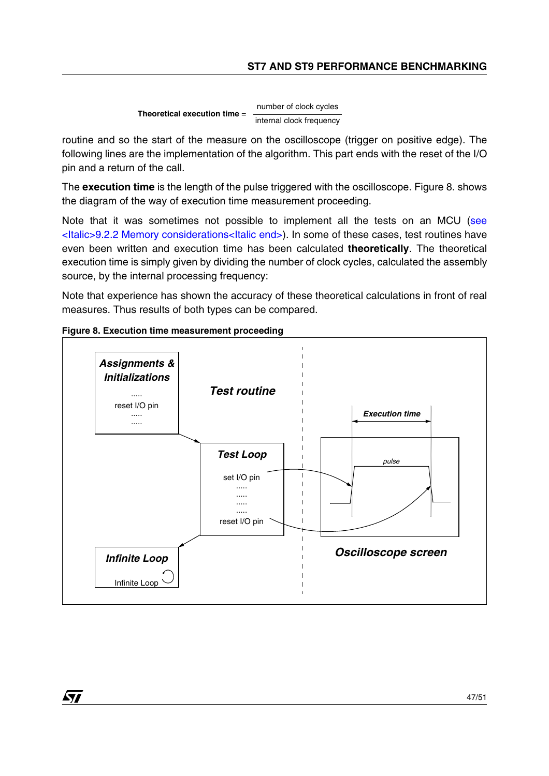**Theoretical execution time** = number of clock cycles internal clock frequency

routine and so the start of the measure on the oscilloscope (trigger on positive edge). The following lines are the implementation of the algorithm. This part ends with the reset of the I/O pin and a return of the call.

The **execution time** is the length of the pulse triggered with the oscilloscope. Figure 8. shows the diagram of the way of execution time measurement proceeding.

Note that it was sometimes not possible to implement all the tests on an MCU ([see](#page-48-0)  [<Italic>9.2.2 Memory considerations<Italic end>](#page-48-0)). In some of these cases, test routines have even been written and execution time has been calculated **theoretically**. The theoretical execution time is simply given by dividing the number of clock cycles, calculated the assembly source, by the internal processing frequency:

Note that experience has shown the accuracy of these theoretical calculations in front of real measures. Thus results of both types can be compared.

![](_page_46_Figure_6.jpeg)

![](_page_46_Figure_7.jpeg)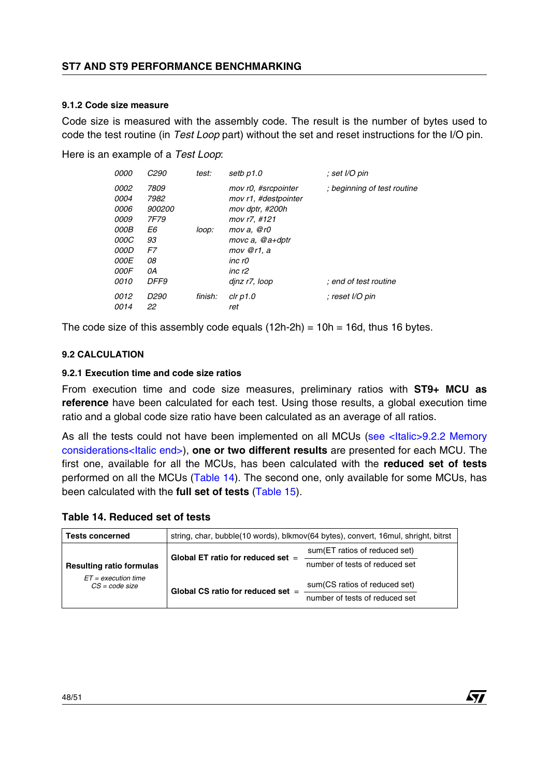#### **9.1.2 Code size measure**

Code size is measured with the assembly code. The result is the number of bytes used to code the test routine (in *Test Loop* part) without the set and reset instructions for the I/O pin.

Here is an example of a *Test Loop*:

| <i>0000</i> | <i>C290</i> | test:   | setb p1.0               | ; set I/O pin               |
|-------------|-------------|---------|-------------------------|-----------------------------|
| 0002        | 7809        |         | mov r0, #srcpointer     | ; beginning of test routine |
| 0004        | 7982        |         | mov r1, #destpointer    |                             |
| 0006        | 900200      |         | mov dptr, #200h         |                             |
| 0009        | 7F79        |         | mov r7, #121            |                             |
| 000B        | E6          | loop:   | mov $a, \mathcal{Q}$ r0 |                             |
| <i>000C</i> | 93          |         | movc $a$ , $@a+dp$ tr   |                             |
| 000D        | F7          |         | $mov$ @r1, a            |                             |
| 000E        | 08          |         | inc r0                  |                             |
| 000F        | 0A          |         | inc r2                  |                             |
| 0010        | <b>DFF9</b> |         | dinz r7, loop           | : end of test routine       |
| 0012        | D290        | finish: | $clr$ $p1.0$            | : reset I/O pin             |
| 0014        | 22          |         | ret                     |                             |

The code size of this assembly code equals  $(12h-2h) = 10h = 16d$ , thus 16 bytes.

#### **9.2 CALCULATION**

#### **9.2.1 Execution time and code size ratios**

From execution time and code size measures, preliminary ratios with **ST9+ MCU as reference** have been calculated for each test. Using those results, a global execution time ratio and a global code size ratio have been calculated as an average of all ratios.

As all the tests could not have been implemented on all MCUs (see <Italic>9.2.2 Memory [considerations<Italic end>](#page-48-0)), **one or two different results** are presented for each MCU. The first one, available for all the MCUs, has been calculated with the **reduced set of tests** performed on all the MCUs (Table 14). The second one, only available for some MCUs, has been calculated with the **full set of tests** (Table 15).

# **Table 14. Reduced set of tests**

| <b>Tests concerned</b>                                                       | string, char, bubble(10 words), blkmov(64 bytes), convert, 16 mul, shright, bitrst |                                |  |  |  |
|------------------------------------------------------------------------------|------------------------------------------------------------------------------------|--------------------------------|--|--|--|
|                                                                              | Global ET ratio for reduced set $=$                                                | sum (ET ratios of reduced set) |  |  |  |
| <b>Resulting ratio formulas</b><br>$ET = execution time$<br>$CS = code size$ |                                                                                    | number of tests of reduced set |  |  |  |
|                                                                              | Global CS ratio for reduced set $=$                                                | sum (CS ratios of reduced set) |  |  |  |
|                                                                              |                                                                                    | number of tests of reduced set |  |  |  |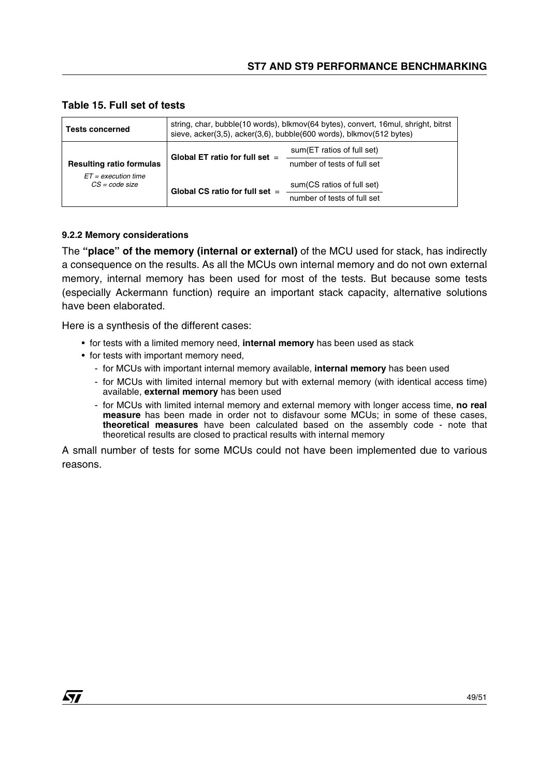| <b>Tests concerned</b>                    | string, char, bubble(10 words), blkmov(64 bytes), convert, 16 mul, shright, bitrst<br>sieve, acker(3,5), acker(3,6), bubble(600 words), blkmov(512 bytes) |                                                            |  |  |  |
|-------------------------------------------|-----------------------------------------------------------------------------------------------------------------------------------------------------------|------------------------------------------------------------|--|--|--|
| <b>Resulting ratio formulas</b>           | Global ET ratio for full set $=$                                                                                                                          | sum (ET ratios of full set)<br>number of tests of full set |  |  |  |
| $ET = execution time$<br>$CS = code size$ | Global CS ratio for full set $=$                                                                                                                          | sum (CS ratios of full set)<br>number of tests of full set |  |  |  |

### **Table 15. Full set of tests**

### <span id="page-48-0"></span>**9.2.2 Memory considerations**

97

The **"place" of the memory (internal or external)** of the MCU used for stack, has indirectly a consequence on the results. As all the MCUs own internal memory and do not own external memory, internal memory has been used for most of the tests. But because some tests (especially Ackermann function) require an important stack capacity, alternative solutions have been elaborated.

Here is a synthesis of the different cases:

- for tests with a limited memory need, **internal memory** has been used as stack
- for tests with important memory need,
	- for MCUs with important internal memory available, **internal memory** has been used
	- for MCUs with limited internal memory but with external memory (with identical access time) available, **external memory** has been used
	- for MCUs with limited internal memory and external memory with longer access time, **no real measure** has been made in order not to disfavour some MCUs; in some of these cases, **theoretical measures** have been calculated based on the assembly code - note that theoretical results are closed to practical results with internal memory

A small number of tests for some MCUs could not have been implemented due to various reasons.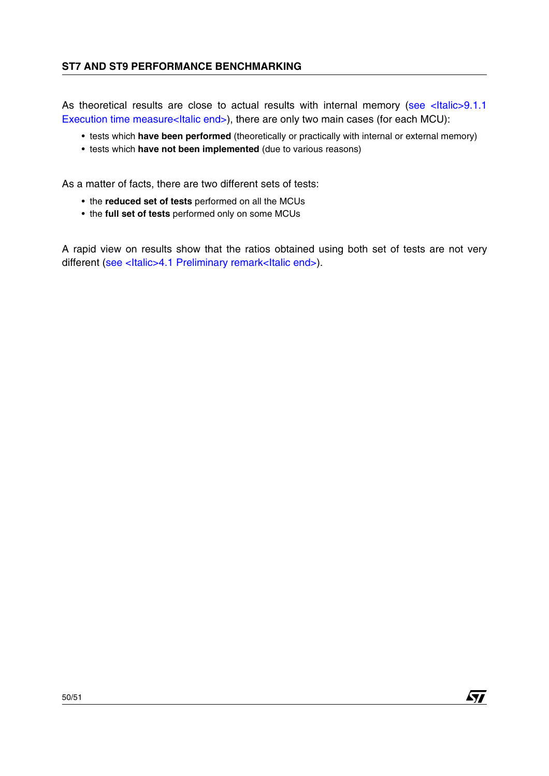As theoretical results are close to actual results with internal memory (see <Italic>9.1.1 [Execution time measure<Italic end>\)](#page-45-1), there are only two main cases (for each MCU):

- tests which **have been performed** (theoretically or practically with internal or external memory)
- tests which **have not been implemented** (due to various reasons)

As a matter of facts, there are two different sets of tests:

- the **reduced set of tests** performed on all the MCUs
- the **full set of tests** performed only on some MCUs

A rapid view on results show that the ratios obtained using both set of tests are not very different (see <Italic>4.1 [Preliminary remark<Italic end>](#page-10-1)).

*Kyt*